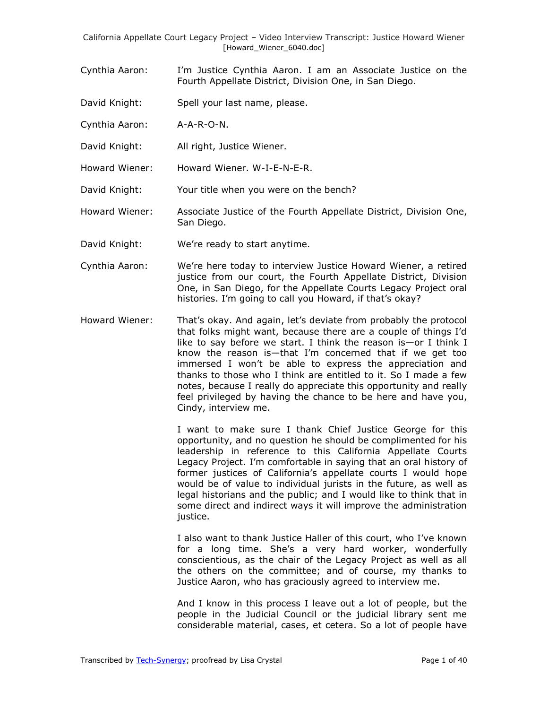- Cynthia Aaron: I'm Justice Cynthia Aaron. I am an Associate Justice on the Fourth Appellate District, Division One, in San Diego.
- David Knight: Spell your last name, please.
- Cynthia Aaron: A-A-R-O-N.
- David Knight: All right, Justice Wiener.
- Howard Wiener: Howard Wiener. W-I-E-N-E-R.
- David Knight: Your title when you were on the bench?

Howard Wiener: Associate Justice of the Fourth Appellate District, Division One, San Diego.

- David Knight: We're ready to start anytime.
- Cynthia Aaron: We're here today to interview Justice Howard Wiener, a retired justice from our court, the Fourth Appellate District, Division One, in San Diego, for the Appellate Courts Legacy Project oral histories. I'm going to call you Howard, if that's okay?
- Howard Wiener: That's okay. And again, let's deviate from probably the protocol that folks might want, because there are a couple of things I'd like to say before we start. I think the reason is—or I think I know the reason is—that I'm concerned that if we get too immersed I won't be able to express the appreciation and thanks to those who I think are entitled to it. So I made a few notes, because I really do appreciate this opportunity and really feel privileged by having the chance to be here and have you, Cindy, interview me.

I want to make sure I thank Chief Justice George for this opportunity, and no question he should be complimented for his leadership in reference to this California Appellate Courts Legacy Project. I'm comfortable in saying that an oral history of former justices of California's appellate courts I would hope would be of value to individual jurists in the future, as well as legal historians and the public; and I would like to think that in some direct and indirect ways it will improve the administration justice.

I also want to thank Justice Haller of this court, who I've known for a long time. She's a very hard worker, wonderfully conscientious, as the chair of the Legacy Project as well as all the others on the committee; and of course, my thanks to Justice Aaron, who has graciously agreed to interview me.

And I know in this process I leave out a lot of people, but the people in the Judicial Council or the judicial library sent me considerable material, cases, et cetera. So a lot of people have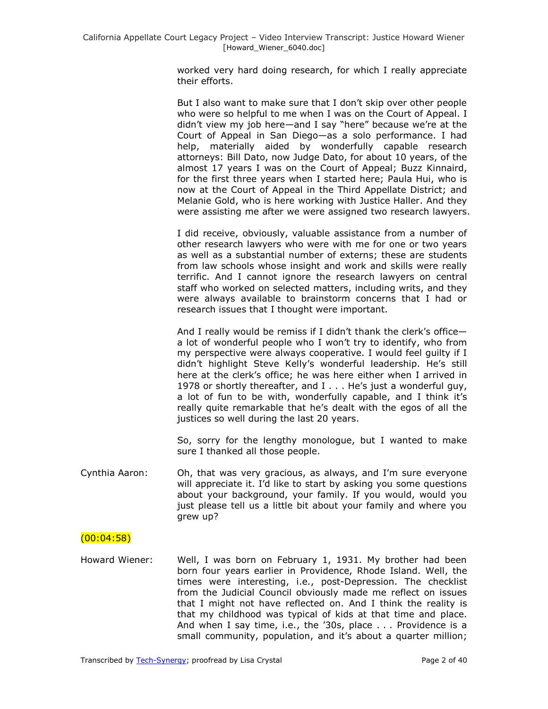worked very hard doing research, for which I really appreciate their efforts.

But I also want to make sure that I don't skip over other people who were so helpful to me when I was on the Court of Appeal. I didn't view my job here—and I say "here" because we're at the Court of Appeal in San Diego—as a solo performance. I had help, materially aided by wonderfully capable research attorneys: Bill Dato, now Judge Dato, for about 10 years, of the almost 17 years I was on the Court of Appeal; Buzz Kinnaird, for the first three years when I started here; Paula Hui, who is now at the Court of Appeal in the Third Appellate District; and Melanie Gold, who is here working with Justice Haller. And they were assisting me after we were assigned two research lawyers.

I did receive, obviously, valuable assistance from a number of other research lawyers who were with me for one or two years as well as a substantial number of externs; these are students from law schools whose insight and work and skills were really terrific. And I cannot ignore the research lawyers on central staff who worked on selected matters, including writs, and they were always available to brainstorm concerns that I had or research issues that I thought were important.

And I really would be remiss if I didn't thank the clerk's office a lot of wonderful people who I won't try to identify, who from my perspective were always cooperative. I would feel guilty if I didn't highlight Steve Kelly's wonderful leadership. He's still here at the clerk's office; he was here either when I arrived in 1978 or shortly thereafter, and I . . . He's just a wonderful guy, a lot of fun to be with, wonderfully capable, and I think it's really quite remarkable that he's dealt with the egos of all the justices so well during the last 20 years.

So, sorry for the lengthy monologue, but I wanted to make sure I thanked all those people.

Cynthia Aaron: Oh, that was very gracious, as always, and I'm sure everyone will appreciate it. I'd like to start by asking you some questions about your background, your family. If you would, would you just please tell us a little bit about your family and where you grew up?

#### $(00:04:58)$

Howard Wiener: Well, I was born on February 1, 1931. My brother had been born four years earlier in Providence, Rhode Island. Well, the times were interesting, i.e., post-Depression. The checklist from the Judicial Council obviously made me reflect on issues that I might not have reflected on. And I think the reality is that my childhood was typical of kids at that time and place. And when I say time, i.e., the '30s, place . . . Providence is a small community, population, and it's about a quarter million;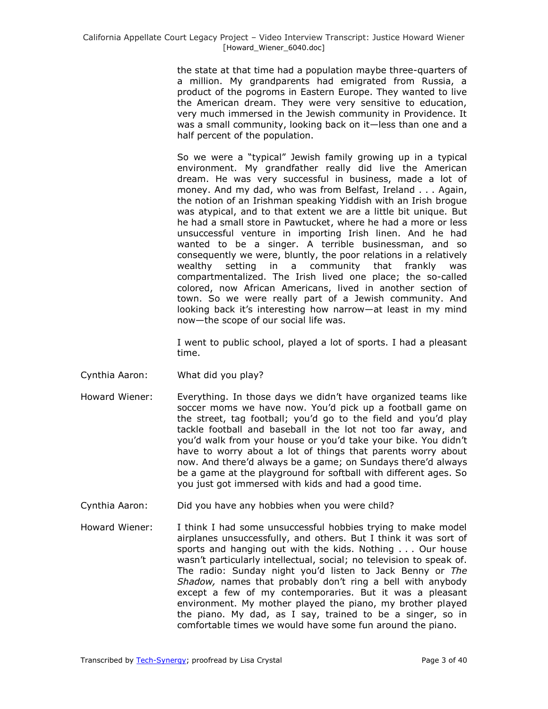the state at that time had a population maybe three-quarters of a million. My grandparents had emigrated from Russia, a product of the pogroms in Eastern Europe. They wanted to live the American dream. They were very sensitive to education, very much immersed in the Jewish community in Providence. It was a small community, looking back on it—less than one and a half percent of the population.

So we were a "typical" Jewish family growing up in a typical environment. My grandfather really did live the American dream. He was very successful in business, made a lot of money. And my dad, who was from Belfast, Ireland . . . Again, the notion of an Irishman speaking Yiddish with an Irish brogue was atypical, and to that extent we are a little bit unique. But he had a small store in Pawtucket, where he had a more or less unsuccessful venture in importing Irish linen. And he had wanted to be a singer. A terrible businessman, and so consequently we were, bluntly, the poor relations in a relatively wealthy setting in a community that frankly was compartmentalized. The Irish lived one place; the so-called colored, now African Americans, lived in another section of town. So we were really part of a Jewish community. And looking back it's interesting how narrow—at least in my mind now—the scope of our social life was.

I went to public school, played a lot of sports. I had a pleasant time.

- Cynthia Aaron: What did you play?
- Howard Wiener: Everything. In those days we didn't have organized teams like soccer moms we have now. You'd pick up a football game on the street, tag football; you'd go to the field and you'd play tackle football and baseball in the lot not too far away, and you'd walk from your house or you'd take your bike. You didn't have to worry about a lot of things that parents worry about now. And there'd always be a game; on Sundays there'd always be a game at the playground for softball with different ages. So you just got immersed with kids and had a good time.
- Cynthia Aaron: Did you have any hobbies when you were child?
- Howard Wiener: I think I had some unsuccessful hobbies trying to make model airplanes unsuccessfully, and others. But I think it was sort of sports and hanging out with the kids. Nothing . . . Our house wasn't particularly intellectual, social; no television to speak of. The radio: Sunday night you'd listen to Jack Benny or *The Shadow,* names that probably don't ring a bell with anybody except a few of my contemporaries. But it was a pleasant environment. My mother played the piano, my brother played the piano. My dad, as I say, trained to be a singer, so in comfortable times we would have some fun around the piano.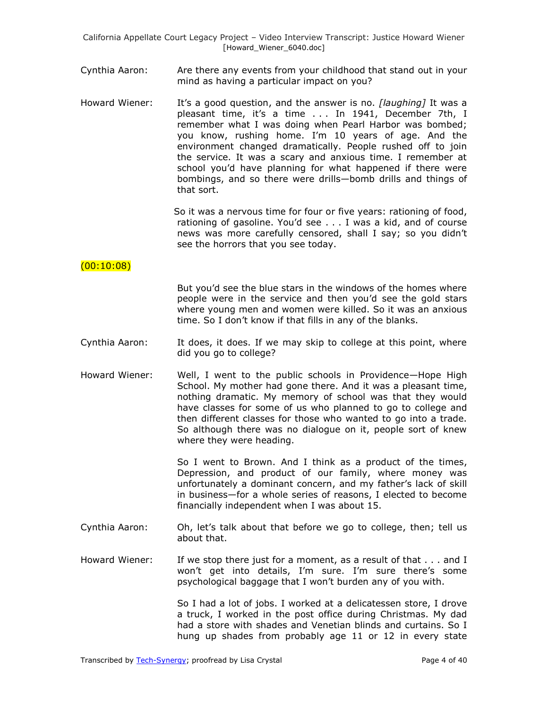- Cynthia Aaron: Are there any events from your childhood that stand out in your mind as having a particular impact on you?
- Howard Wiener: It's a good question, and the answer is no. *[laughing]* It was a pleasant time, it's a time . . . In 1941, December 7th, I remember what I was doing when Pearl Harbor was bombed; you know, rushing home. I'm 10 years of age. And the environment changed dramatically. People rushed off to join the service. It was a scary and anxious time. I remember at school you'd have planning for what happened if there were bombings, and so there were drills—bomb drills and things of that sort.

So it was a nervous time for four or five years: rationing of food, rationing of gasoline. You'd see . . . I was a kid, and of course news was more carefully censored, shall I say; so you didn't see the horrors that you see today.

## $(00:10:08)$

But you'd see the blue stars in the windows of the homes where people were in the service and then you'd see the gold stars where young men and women were killed. So it was an anxious time. So I don't know if that fills in any of the blanks.

- Cynthia Aaron: It does, it does. If we may skip to college at this point, where did you go to college?
- Howard Wiener: Well, I went to the public schools in Providence—Hope High School. My mother had gone there. And it was a pleasant time, nothing dramatic. My memory of school was that they would have classes for some of us who planned to go to college and then different classes for those who wanted to go into a trade. So although there was no dialogue on it, people sort of knew where they were heading.

So I went to Brown. And I think as a product of the times, Depression, and product of our family, where money was unfortunately a dominant concern, and my father's lack of skill in business—for a whole series of reasons, I elected to become financially independent when I was about 15.

- Cynthia Aaron: Oh, let's talk about that before we go to college, then; tell us about that.
- Howard Wiener: If we stop there just for a moment, as a result of that . . . and I won't get into details, I'm sure. I'm sure there's some psychological baggage that I won't burden any of you with.

So I had a lot of jobs. I worked at a delicatessen store, I drove a truck, I worked in the post office during Christmas. My dad had a store with shades and Venetian blinds and curtains. So I hung up shades from probably age 11 or 12 in every state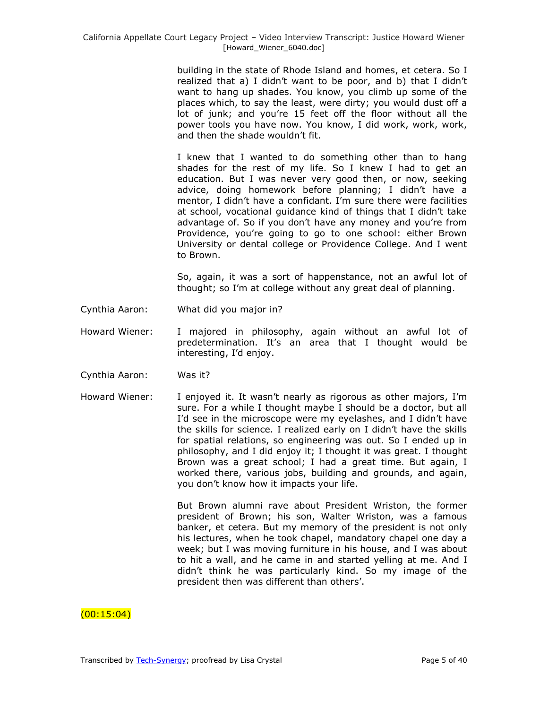building in the state of Rhode Island and homes, et cetera. So I realized that a) I didn't want to be poor, and b) that I didn't want to hang up shades. You know, you climb up some of the places which, to say the least, were dirty; you would dust off a lot of junk; and you're 15 feet off the floor without all the power tools you have now. You know, I did work, work, work, and then the shade wouldn't fit.

I knew that I wanted to do something other than to hang shades for the rest of my life. So I knew I had to get an education. But I was never very good then, or now, seeking advice, doing homework before planning; I didn't have a mentor, I didn't have a confidant. I'm sure there were facilities at school, vocational guidance kind of things that I didn't take advantage of. So if you don't have any money and you're from Providence, you're going to go to one school: either Brown University or dental college or Providence College. And I went to Brown.

So, again, it was a sort of happenstance, not an awful lot of thought; so I'm at college without any great deal of planning.

- Cynthia Aaron: What did you major in?
- Howard Wiener: I majored in philosophy, again without an awful lot of predetermination. It's an area that I thought would be interesting, I'd enjoy.
- Cynthia Aaron: Was it?
- Howard Wiener: I enjoyed it. It wasn't nearly as rigorous as other majors, I'm sure. For a while I thought maybe I should be a doctor, but all I'd see in the microscope were my eyelashes, and I didn't have the skills for science. I realized early on I didn't have the skills for spatial relations, so engineering was out. So I ended up in philosophy, and I did enjoy it; I thought it was great. I thought Brown was a great school; I had a great time. But again, I worked there, various jobs, building and grounds, and again, you don't know how it impacts your life.

But Brown alumni rave about President Wriston, the former president of Brown; his son, Walter Wriston, was a famous banker, et cetera. But my memory of the president is not only his lectures, when he took chapel, mandatory chapel one day a week; but I was moving furniture in his house, and I was about to hit a wall, and he came in and started yelling at me. And I didn't think he was particularly kind. So my image of the president then was different than others'.

## (00:15:04)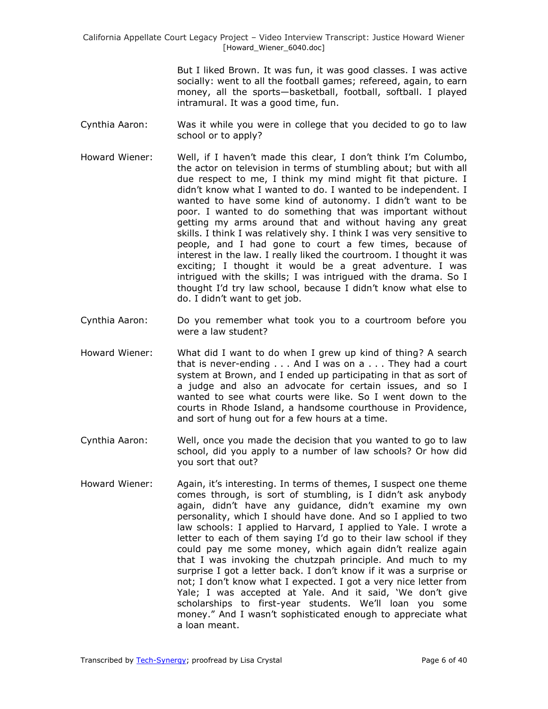> But I liked Brown. It was fun, it was good classes. I was active socially: went to all the football games; refereed, again, to earn money, all the sports—basketball, football, softball. I played intramural. It was a good time, fun.

- Cynthia Aaron: Was it while you were in college that you decided to go to law school or to apply?
- Howard Wiener: Well, if I haven't made this clear, I don't think I'm Columbo, the actor on television in terms of stumbling about; but with all due respect to me, I think my mind might fit that picture. I didn't know what I wanted to do. I wanted to be independent. I wanted to have some kind of autonomy. I didn't want to be poor. I wanted to do something that was important without getting my arms around that and without having any great skills. I think I was relatively shy. I think I was very sensitive to people, and I had gone to court a few times, because of interest in the law. I really liked the courtroom. I thought it was exciting; I thought it would be a great adventure. I was intrigued with the skills; I was intrigued with the drama. So I thought I'd try law school, because I didn't know what else to do. I didn't want to get job.
- Cynthia Aaron: Do you remember what took you to a courtroom before you were a law student?
- Howard Wiener: What did I want to do when I grew up kind of thing? A search that is never-ending . . . And I was on a . . . They had a court system at Brown, and I ended up participating in that as sort of a judge and also an advocate for certain issues, and so I wanted to see what courts were like. So I went down to the courts in Rhode Island, a handsome courthouse in Providence, and sort of hung out for a few hours at a time.
- Cynthia Aaron: Well, once you made the decision that you wanted to go to law school, did you apply to a number of law schools? Or how did you sort that out?
- Howard Wiener: Again, it's interesting. In terms of themes, I suspect one theme comes through, is sort of stumbling, is I didn't ask anybody again, didn't have any guidance, didn't examine my own personality, which I should have done. And so I applied to two law schools: I applied to Harvard, I applied to Yale. I wrote a letter to each of them saying I'd go to their law school if they could pay me some money, which again didn't realize again that I was invoking the chutzpah principle. And much to my surprise I got a letter back. I don't know if it was a surprise or not; I don't know what I expected. I got a very nice letter from Yale; I was accepted at Yale. And it said, 'We don't give scholarships to first-year students. We'll loan you some money." And I wasn't sophisticated enough to appreciate what a loan meant.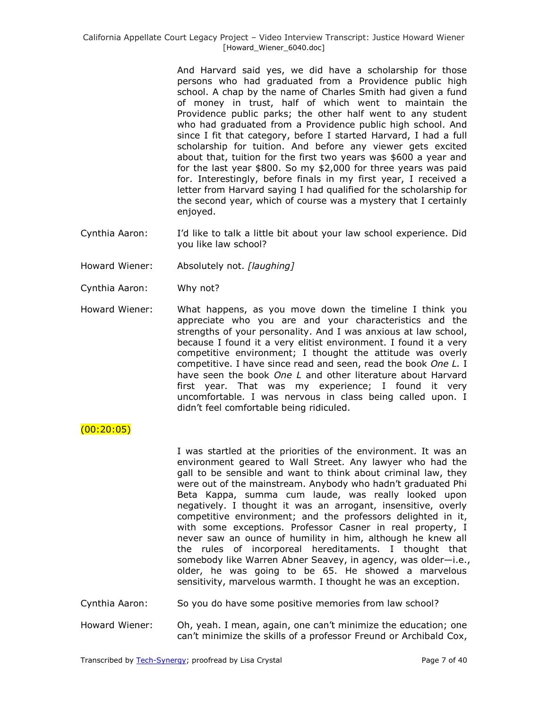And Harvard said yes, we did have a scholarship for those persons who had graduated from a Providence public high school. A chap by the name of Charles Smith had given a fund of money in trust, half of which went to maintain the Providence public parks; the other half went to any student who had graduated from a Providence public high school. And since I fit that category, before I started Harvard, I had a full scholarship for tuition. And before any viewer gets excited about that, tuition for the first two years was \$600 a year and for the last year \$800. So my \$2,000 for three years was paid for. Interestingly, before finals in my first year, I received a letter from Harvard saying I had qualified for the scholarship for the second year, which of course was a mystery that I certainly enjoyed.

- Cynthia Aaron: I'd like to talk a little bit about your law school experience. Did you like law school?
- Howard Wiener: Absolutely not. *[laughing]*
- Cynthia Aaron: Why not?
- Howard Wiener: What happens, as you move down the timeline I think you appreciate who you are and your characteristics and the strengths of your personality. And I was anxious at law school, because I found it a very elitist environment. I found it a very competitive environment; I thought the attitude was overly competitive. I have since read and seen, read the book *One L.* I have seen the book *One L* and other literature about Harvard first year. That was my experience; I found it very uncomfortable. I was nervous in class being called upon. I didn't feel comfortable being ridiculed.

# $(00:20:05)$

I was startled at the priorities of the environment. It was an environment geared to Wall Street. Any lawyer who had the gall to be sensible and want to think about criminal law, they were out of the mainstream. Anybody who hadn't graduated Phi Beta Kappa, summa cum laude, was really looked upon negatively. I thought it was an arrogant, insensitive, overly competitive environment; and the professors delighted in it, with some exceptions. Professor Casner in real property, I never saw an ounce of humility in him, although he knew all the rules of incorporeal hereditaments. I thought that somebody like Warren Abner Seavey, in agency, was older—i.e., older, he was going to be 65. He showed a marvelous sensitivity, marvelous warmth. I thought he was an exception.

Cynthia Aaron: So you do have some positive memories from law school?

Howard Wiener: Oh, yeah. I mean, again, one can't minimize the education; one can't minimize the skills of a professor Freund or Archibald Cox,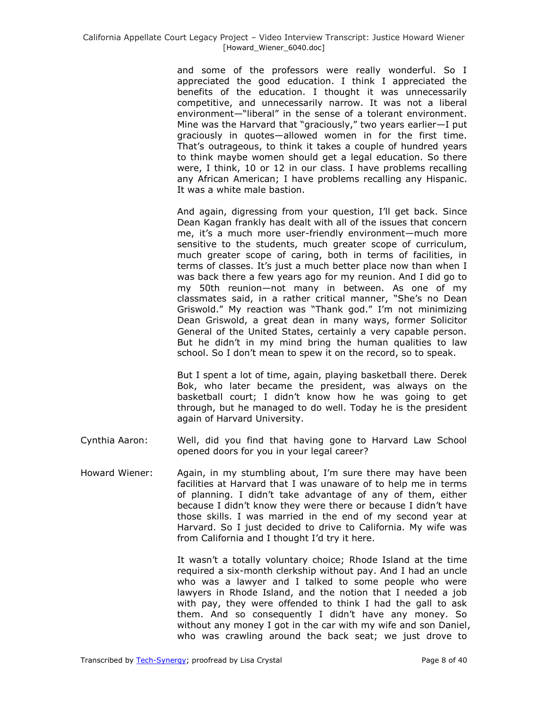and some of the professors were really wonderful. So I appreciated the good education. I think I appreciated the benefits of the education. I thought it was unnecessarily competitive, and unnecessarily narrow. It was not a liberal environment—"liberal" in the sense of a tolerant environment. Mine was the Harvard that "graciously," two years earlier-I put graciously in quotes—allowed women in for the first time. That's outrageous, to think it takes a couple of hundred years to think maybe women should get a legal education. So there were, I think, 10 or 12 in our class. I have problems recalling any African American; I have problems recalling any Hispanic. It was a white male bastion.

And again, digressing from your question, I'll get back. Since Dean Kagan frankly has dealt with all of the issues that concern me, it's a much more user-friendly environment—much more sensitive to the students, much greater scope of curriculum, much greater scope of caring, both in terms of facilities, in terms of classes. It's just a much better place now than when I was back there a few years ago for my reunion. And I did go to my 50th reunion—not many in between. As one of my classmates said, in a rather critical manner, "She's no Dean Griswold." My reaction was "Thank god." I'm not minimizing Dean Griswold, a great dean in many ways, former Solicitor General of the United States, certainly a very capable person. But he didn't in my mind bring the human qualities to law school. So I don't mean to spew it on the record, so to speak.

But I spent a lot of time, again, playing basketball there. Derek Bok, who later became the president, was always on the basketball court; I didn't know how he was going to get through, but he managed to do well. Today he is the president again of Harvard University.

- Cynthia Aaron: Well, did you find that having gone to Harvard Law School opened doors for you in your legal career?
- Howard Wiener: Again, in my stumbling about, I'm sure there may have been facilities at Harvard that I was unaware of to help me in terms of planning. I didn't take advantage of any of them, either because I didn't know they were there or because I didn't have those skills. I was married in the end of my second year at Harvard. So I just decided to drive to California. My wife was from California and I thought I'd try it here.

It wasn't a totally voluntary choice; Rhode Island at the time required a six-month clerkship without pay. And I had an uncle who was a lawyer and I talked to some people who were lawyers in Rhode Island, and the notion that I needed a job with pay, they were offended to think I had the gall to ask them. And so consequently I didn't have any money. So without any money I got in the car with my wife and son Daniel, who was crawling around the back seat; we just drove to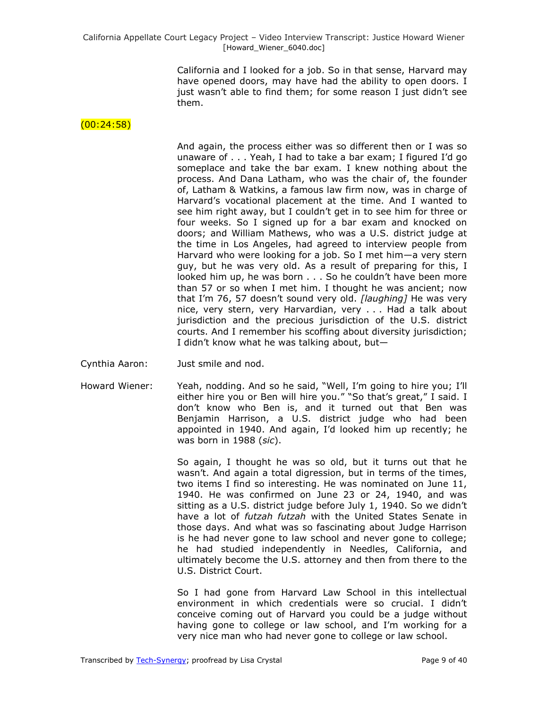California and I looked for a job. So in that sense, Harvard may have opened doors, may have had the ability to open doors. I just wasn't able to find them; for some reason I just didn't see them.

### $(00:24:58)$

And again, the process either was so different then or I was so unaware of . . . Yeah, I had to take a bar exam; I figured I'd go someplace and take the bar exam. I knew nothing about the process. And Dana Latham, who was the chair of, the founder of, Latham & Watkins, a famous law firm now, was in charge of Harvard's vocational placement at the time. And I wanted to see him right away, but I couldn't get in to see him for three or four weeks. So I signed up for a bar exam and knocked on doors; and William Mathews, who was a U.S. district judge at the time in Los Angeles, had agreed to interview people from Harvard who were looking for a job. So I met him—a very stern guy, but he was very old. As a result of preparing for this, I looked him up, he was born . . . So he couldn't have been more than 57 or so when I met him. I thought he was ancient; now that I'm 76, 57 doesn't sound very old. *[laughing]* He was very nice, very stern, very Harvardian, very . . . Had a talk about jurisdiction and the precious jurisdiction of the U.S. district courts. And I remember his scoffing about diversity jurisdiction; I didn't know what he was talking about, but—

- Cynthia Aaron: Just smile and nod.
- Howard Wiener: Yeah, nodding. And so he said, "Well, I'm going to hire you; I'll either hire you or Ben will hire you." "So that's great," I said. I don't know who Ben is, and it turned out that Ben was Benjamin Harrison, a U.S. district judge who had been appointed in 1940. And again, I'd looked him up recently; he was born in 1988 (*sic*).

So again, I thought he was so old, but it turns out that he wasn't. And again a total digression, but in terms of the times, two items I find so interesting. He was nominated on June 11, 1940. He was confirmed on June 23 or 24, 1940, and was sitting as a U.S. district judge before July 1, 1940. So we didn't have a lot of *futzah futzah* with the United States Senate in those days. And what was so fascinating about Judge Harrison is he had never gone to law school and never gone to college; he had studied independently in Needles, California, and ultimately become the U.S. attorney and then from there to the U.S. District Court.

So I had gone from Harvard Law School in this intellectual environment in which credentials were so crucial. I didn't conceive coming out of Harvard you could be a judge without having gone to college or law school, and I'm working for a very nice man who had never gone to college or law school.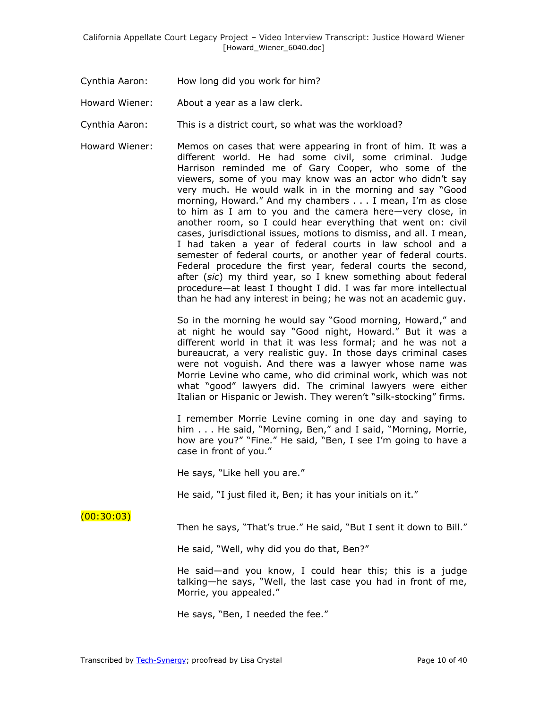- Cynthia Aaron: How long did you work for him?
- Howard Wiener: About a year as a law clerk.
- Cynthia Aaron: This is a district court, so what was the workload?
- Howard Wiener: Memos on cases that were appearing in front of him. It was a different world. He had some civil, some criminal. Judge Harrison reminded me of Gary Cooper, who some of the viewers, some of you may know was an actor who didn't say very much. He would walk in in the morning and say "Good morning, Howard." And my chambers . . . I mean, I'm as close to him as I am to you and the camera here—very close, in another room, so I could hear everything that went on: civil cases, jurisdictional issues, motions to dismiss, and all. I mean, I had taken a year of federal courts in law school and a semester of federal courts, or another year of federal courts. Federal procedure the first year, federal courts the second, after (*sic*) my third year, so I knew something about federal procedure—at least I thought I did. I was far more intellectual than he had any interest in being; he was not an academic guy.

So in the morning he would say "Good morning, Howard," and at night he would say "Good night, Howard." But it was a different world in that it was less formal; and he was not a bureaucrat, a very realistic guy. In those days criminal cases were not voguish. And there was a lawyer whose name was Morrie Levine who came, who did criminal work, which was not what "good" lawyers did. The criminal lawyers were either Italian or Hispanic or Jewish. They weren't "silk-stocking" firms.

I remember Morrie Levine coming in one day and saying to him . . . He said, "Morning, Ben," and I said, "Morning, Morrie, how are you?" "Fine." He said, "Ben, I see I'm going to have a case in front of you."

He says, "Like hell you are."

He said, "I just filed it, Ben; it has your initials on it."

## $(00:30:03)$

Then he says, "That's true." He said, "But I sent it down to Bill."

He said, "Well, why did you do that, Ben?"

He said—and you know, I could hear this; this is a judge talking—he says, ―Well, the last case you had in front of me, Morrie, you appealed."

He says, "Ben, I needed the fee."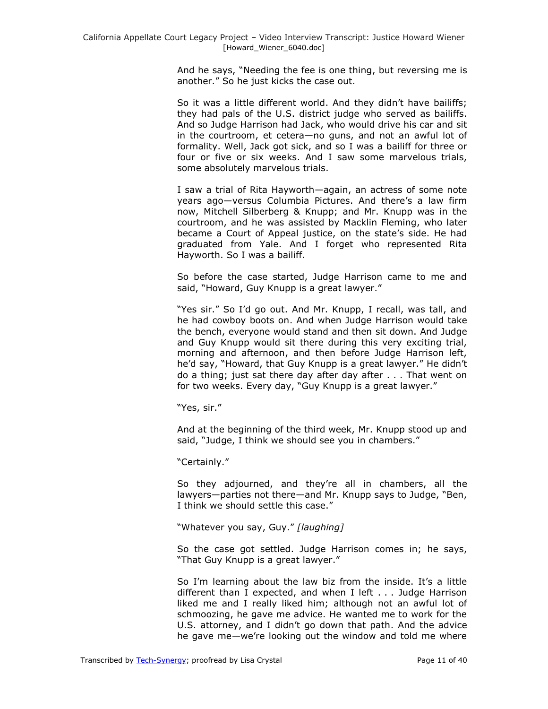And he says, "Needing the fee is one thing, but reversing me is another." So he just kicks the case out.

So it was a little different world. And they didn't have bailiffs; they had pals of the U.S. district judge who served as bailiffs. And so Judge Harrison had Jack, who would drive his car and sit in the courtroom, et cetera—no guns, and not an awful lot of formality. Well, Jack got sick, and so I was a bailiff for three or four or five or six weeks. And I saw some marvelous trials, some absolutely marvelous trials.

I saw a trial of Rita Hayworth—again, an actress of some note years ago—versus Columbia Pictures. And there's a law firm now, Mitchell Silberberg & Knupp; and Mr. Knupp was in the courtroom, and he was assisted by Macklin Fleming, who later became a Court of Appeal justice, on the state's side. He had graduated from Yale. And I forget who represented Rita Hayworth. So I was a bailiff.

So before the case started, Judge Harrison came to me and said, "Howard, Guy Knupp is a great lawyer."

"Yes sir." So I'd go out. And Mr. Knupp, I recall, was tall, and he had cowboy boots on. And when Judge Harrison would take the bench, everyone would stand and then sit down. And Judge and Guy Knupp would sit there during this very exciting trial, morning and afternoon, and then before Judge Harrison left, he'd say, "Howard, that Guy Knupp is a great lawyer." He didn't do a thing; just sat there day after day after . . . That went on for two weeks. Every day, "Guy Knupp is a great lawyer."

"Yes, sir."

And at the beginning of the third week, Mr. Knupp stood up and said, "Judge, I think we should see you in chambers."

"Certainly."

So they adjourned, and they're all in chambers, all the lawyers—parties not there—and Mr. Knupp says to Judge, "Ben, I think we should settle this case."

―Whatever you say, Guy.‖ *[laughing]*

So the case got settled. Judge Harrison comes in; he says, "That Guy Knupp is a great lawyer."

So I'm learning about the law biz from the inside. It's a little different than I expected, and when I left . . . Judge Harrison liked me and I really liked him; although not an awful lot of schmoozing, he gave me advice. He wanted me to work for the U.S. attorney, and I didn't go down that path. And the advice he gave me—we're looking out the window and told me where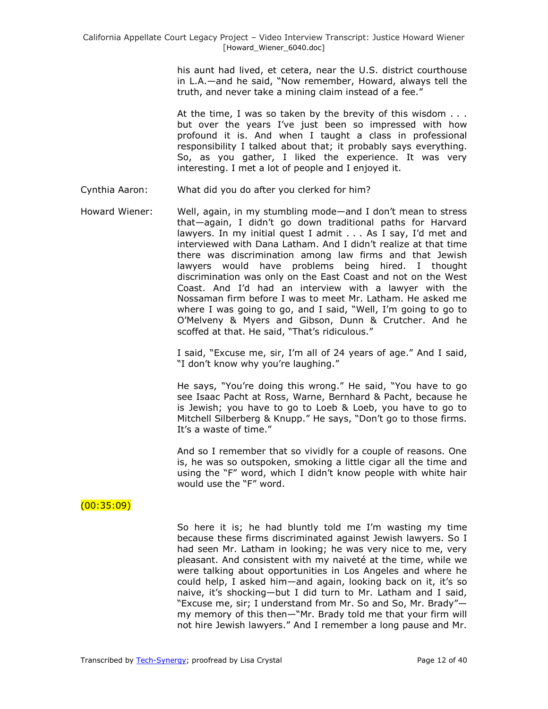his aunt had lived, et cetera, near the U.S. district courthouse in L.A.—and he said, "Now remember, Howard, always tell the truth, and never take a mining claim instead of a fee."

At the time, I was so taken by the brevity of this wisdom . . . but over the years I've just been so impressed with how profound it is. And when I taught a class in professional responsibility I talked about that; it probably says everything. So, as you gather, I liked the experience. It was very interesting. I met a lot of people and I enjoyed it.

- Cynthia Aaron: What did you do after you clerked for him?
- Howard Wiener: Well, again, in my stumbling mode—and I don't mean to stress that—again, I didn't go down traditional paths for Harvard lawyers. In my initial quest I admit . . . As I say, I'd met and interviewed with Dana Latham. And I didn't realize at that time there was discrimination among law firms and that Jewish lawyers would have problems being hired. I thought discrimination was only on the East Coast and not on the West Coast. And I'd had an interview with a lawyer with the Nossaman firm before I was to meet Mr. Latham. He asked me where I was going to go, and I said, "Well, I'm going to go to O'Melveny & Myers and Gibson, Dunn & Crutcher. And he scoffed at that. He said, "That's ridiculous."

I said, "Excuse me, sir, I'm all of 24 years of age." And I said, "I don't know why you're laughing."

He says, "You're doing this wrong." He said, "You have to go see Isaac Pacht at Ross, Warne, Bernhard & Pacht, because he is Jewish; you have to go to Loeb & Loeb, you have to go to Mitchell Silberberg & Knupp." He says, "Don't go to those firms. It's a waste of time."

And so I remember that so vividly for a couple of reasons. One is, he was so outspoken, smoking a little cigar all the time and using the "F" word, which I didn't know people with white hair would use the "F" word.

# (00:35:09)

So here it is; he had bluntly told me I'm wasting my time because these firms discriminated against Jewish lawyers. So I had seen Mr. Latham in looking; he was very nice to me, very pleasant. And consistent with my naiveté at the time, while we were talking about opportunities in Los Angeles and where he could help, I asked him—and again, looking back on it, it's so naive, it's shocking—but I did turn to Mr. Latham and I said, "Excuse me, sir; I understand from Mr. So and So, Mr. Brady"my memory of this then-"Mr. Brady told me that your firm will not hire Jewish lawyers." And I remember a long pause and Mr.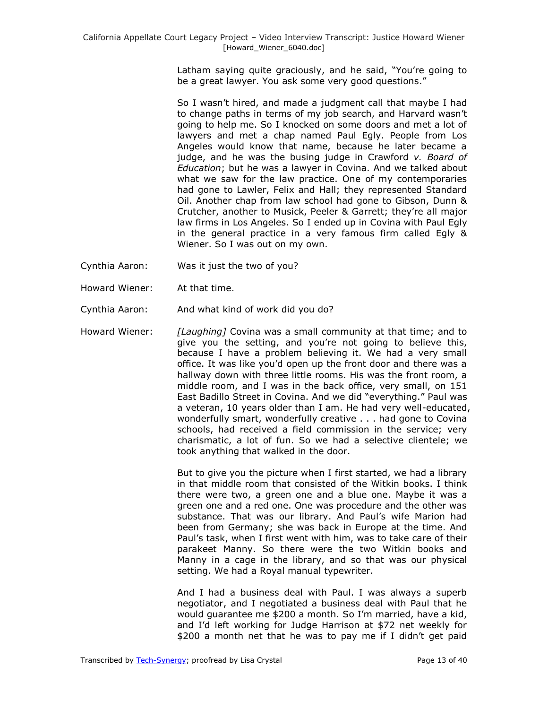Latham saying quite graciously, and he said, "You're going to be a great lawyer. You ask some very good questions."

So I wasn't hired, and made a judgment call that maybe I had to change paths in terms of my job search, and Harvard wasn't going to help me. So I knocked on some doors and met a lot of lawyers and met a chap named Paul Egly. People from Los Angeles would know that name, because he later became a judge, and he was the busing judge in Crawford *v. Board of Education*; but he was a lawyer in Covina. And we talked about what we saw for the law practice. One of my contemporaries had gone to Lawler, Felix and Hall; they represented Standard Oil. Another chap from law school had gone to Gibson, Dunn & Crutcher, another to Musick, Peeler & Garrett; they're all major law firms in Los Angeles. So I ended up in Covina with Paul Egly in the general practice in a very famous firm called Egly & Wiener. So I was out on my own.

- Cynthia Aaron: Was it just the two of you?
- Howard Wiener: At that time.
- Cynthia Aaron: And what kind of work did you do?
- Howard Wiener: *[Laughing]* Covina was a small community at that time; and to give you the setting, and you're not going to believe this, because I have a problem believing it. We had a very small office. It was like you'd open up the front door and there was a hallway down with three little rooms. His was the front room, a middle room, and I was in the back office, very small, on 151 East Badillo Street in Covina. And we did "everything." Paul was a veteran, 10 years older than I am. He had very well-educated, wonderfully smart, wonderfully creative . . . had gone to Covina schools, had received a field commission in the service; very charismatic, a lot of fun. So we had a selective clientele; we took anything that walked in the door.

But to give you the picture when I first started, we had a library in that middle room that consisted of the Witkin books. I think there were two, a green one and a blue one. Maybe it was a green one and a red one. One was procedure and the other was substance. That was our library. And Paul's wife Marion had been from Germany; she was back in Europe at the time. And Paul's task, when I first went with him, was to take care of their parakeet Manny. So there were the two Witkin books and Manny in a cage in the library, and so that was our physical setting. We had a Royal manual typewriter.

And I had a business deal with Paul. I was always a superb negotiator, and I negotiated a business deal with Paul that he would guarantee me \$200 a month. So I'm married, have a kid, and I'd left working for Judge Harrison at \$72 net weekly for \$200 a month net that he was to pay me if I didn't get paid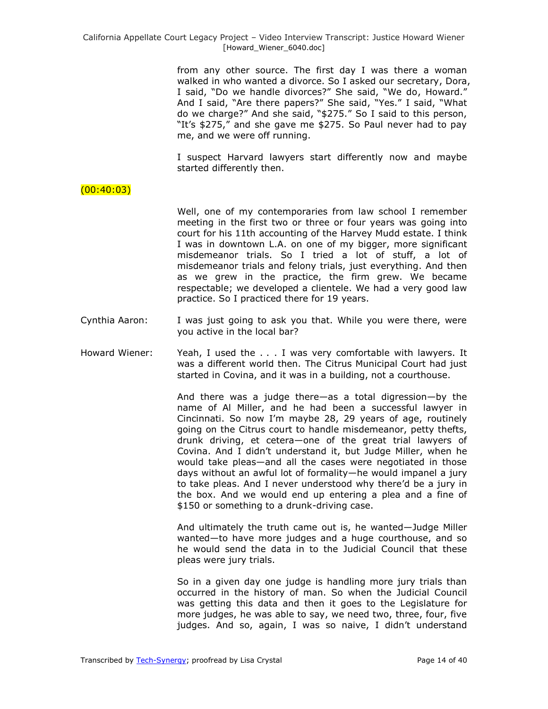> from any other source. The first day I was there a woman walked in who wanted a divorce. So I asked our secretary, Dora, I said, "Do we handle divorces?" She said, "We do, Howard." And I said, "Are there papers?" She said, "Yes." I said, "What do we charge?" And she said, "\$275." So I said to this person, "It's \$275," and she gave me \$275. So Paul never had to pay me, and we were off running.

> I suspect Harvard lawyers start differently now and maybe started differently then.

## $(00:40:03)$

Well, one of my contemporaries from law school I remember meeting in the first two or three or four years was going into court for his 11th accounting of the Harvey Mudd estate. I think I was in downtown L.A. on one of my bigger, more significant misdemeanor trials. So I tried a lot of stuff, a lot of misdemeanor trials and felony trials, just everything. And then as we grew in the practice, the firm grew. We became respectable; we developed a clientele. We had a very good law practice. So I practiced there for 19 years.

- Cynthia Aaron: I was just going to ask you that. While you were there, were you active in the local bar?
- Howard Wiener: Yeah, I used the . . . I was very comfortable with lawyers. It was a different world then. The Citrus Municipal Court had just started in Covina, and it was in a building, not a courthouse.

And there was a judge there—as a total digression—by the name of Al Miller, and he had been a successful lawyer in Cincinnati. So now I'm maybe 28, 29 years of age, routinely going on the Citrus court to handle misdemeanor, petty thefts, drunk driving, et cetera—one of the great trial lawyers of Covina. And I didn't understand it, but Judge Miller, when he would take pleas—and all the cases were negotiated in those days without an awful lot of formality—he would impanel a jury to take pleas. And I never understood why there'd be a jury in the box. And we would end up entering a plea and a fine of \$150 or something to a drunk-driving case.

And ultimately the truth came out is, he wanted—Judge Miller wanted—to have more judges and a huge courthouse, and so he would send the data in to the Judicial Council that these pleas were jury trials.

So in a given day one judge is handling more jury trials than occurred in the history of man. So when the Judicial Council was getting this data and then it goes to the Legislature for more judges, he was able to say, we need two, three, four, five judges. And so, again, I was so naive, I didn't understand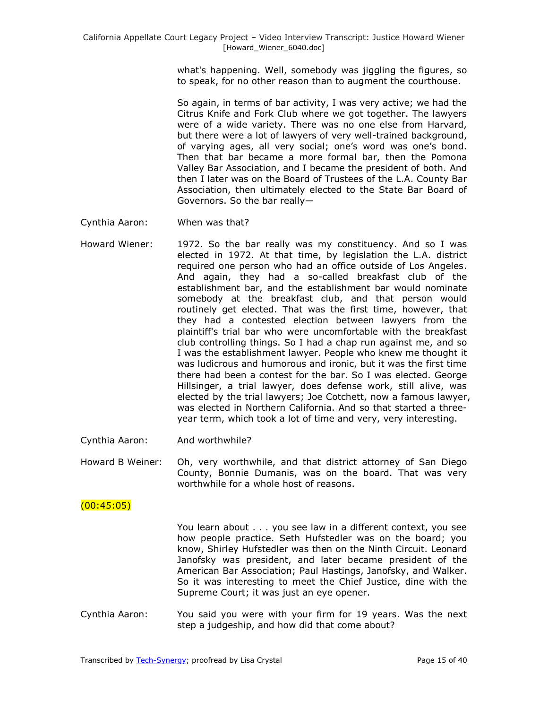what's happening. Well, somebody was jiggling the figures, so to speak, for no other reason than to augment the courthouse.

So again, in terms of bar activity, I was very active; we had the Citrus Knife and Fork Club where we got together. The lawyers were of a wide variety. There was no one else from Harvard, but there were a lot of lawyers of very well-trained background, of varying ages, all very social; one's word was one's bond. Then that bar became a more formal bar, then the Pomona Valley Bar Association, and I became the president of both. And then I later was on the Board of Trustees of the L.A. County Bar Association, then ultimately elected to the State Bar Board of Governors. So the bar really—

- Cynthia Aaron: When was that?
- Howard Wiener: 1972. So the bar really was my constituency. And so I was elected in 1972. At that time, by legislation the L.A. district required one person who had an office outside of Los Angeles. And again, they had a so-called breakfast club of the establishment bar, and the establishment bar would nominate somebody at the breakfast club, and that person would routinely get elected. That was the first time, however, that they had a contested election between lawyers from the plaintiff's trial bar who were uncomfortable with the breakfast club controlling things. So I had a chap run against me, and so I was the establishment lawyer. People who knew me thought it was ludicrous and humorous and ironic, but it was the first time there had been a contest for the bar. So I was elected. George Hillsinger, a trial lawyer, does defense work, still alive, was elected by the trial lawyers; Joe Cotchett, now a famous lawyer, was elected in Northern California. And so that started a threeyear term, which took a lot of time and very, very interesting.
- Cynthia Aaron: And worthwhile?
- Howard B Weiner: Oh, very worthwhile, and that district attorney of San Diego County, Bonnie Dumanis, was on the board. That was very worthwhile for a whole host of reasons.

## $(00:45:05)$

You learn about . . . you see law in a different context, you see how people practice. Seth Hufstedler was on the board; you know, Shirley Hufstedler was then on the Ninth Circuit. Leonard Janofsky was president, and later became president of the American Bar Association; Paul Hastings, Janofsky, and Walker. So it was interesting to meet the Chief Justice, dine with the Supreme Court; it was just an eye opener.

Cynthia Aaron: You said you were with your firm for 19 years. Was the next step a judgeship, and how did that come about?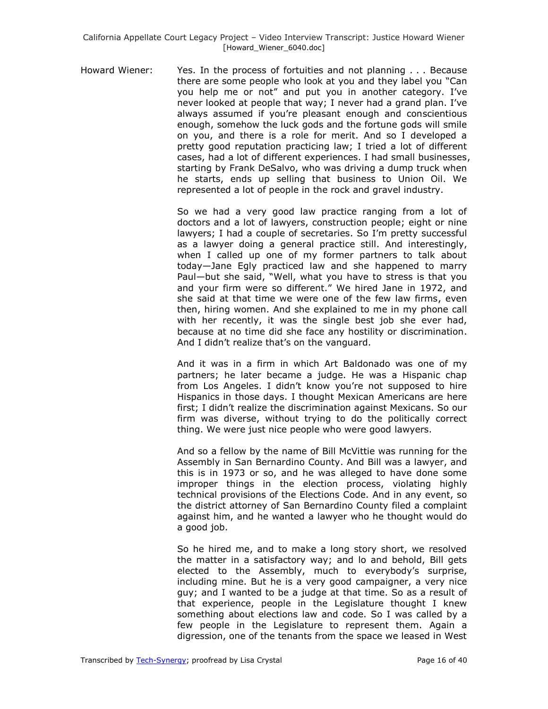Howard Wiener: Yes. In the process of fortuities and not planning . . . Because there are some people who look at you and they label you "Can you help me or not" and put you in another category. I've never looked at people that way; I never had a grand plan. I've always assumed if you're pleasant enough and conscientious enough, somehow the luck gods and the fortune gods will smile on you, and there is a role for merit. And so I developed a pretty good reputation practicing law; I tried a lot of different cases, had a lot of different experiences. I had small businesses, starting by Frank DeSalvo, who was driving a dump truck when he starts, ends up selling that business to Union Oil. We represented a lot of people in the rock and gravel industry.

> So we had a very good law practice ranging from a lot of doctors and a lot of lawyers, construction people; eight or nine lawyers; I had a couple of secretaries. So I'm pretty successful as a lawyer doing a general practice still. And interestingly, when I called up one of my former partners to talk about today—Jane Egly practiced law and she happened to marry Paul-but she said, "Well, what you have to stress is that you and your firm were so different." We hired Jane in 1972, and she said at that time we were one of the few law firms, even then, hiring women. And she explained to me in my phone call with her recently, it was the single best job she ever had, because at no time did she face any hostility or discrimination. And I didn't realize that's on the vanguard.

> And it was in a firm in which Art Baldonado was one of my partners; he later became a judge. He was a Hispanic chap from Los Angeles. I didn't know you're not supposed to hire Hispanics in those days. I thought Mexican Americans are here first; I didn't realize the discrimination against Mexicans. So our firm was diverse, without trying to do the politically correct thing. We were just nice people who were good lawyers.

> And so a fellow by the name of Bill McVittie was running for the Assembly in San Bernardino County. And Bill was a lawyer, and this is in 1973 or so, and he was alleged to have done some improper things in the election process, violating highly technical provisions of the Elections Code. And in any event, so the district attorney of San Bernardino County filed a complaint against him, and he wanted a lawyer who he thought would do a good job.

> So he hired me, and to make a long story short, we resolved the matter in a satisfactory way; and lo and behold, Bill gets elected to the Assembly, much to everybody's surprise, including mine. But he is a very good campaigner, a very nice guy; and I wanted to be a judge at that time. So as a result of that experience, people in the Legislature thought I knew something about elections law and code. So I was called by a few people in the Legislature to represent them. Again a digression, one of the tenants from the space we leased in West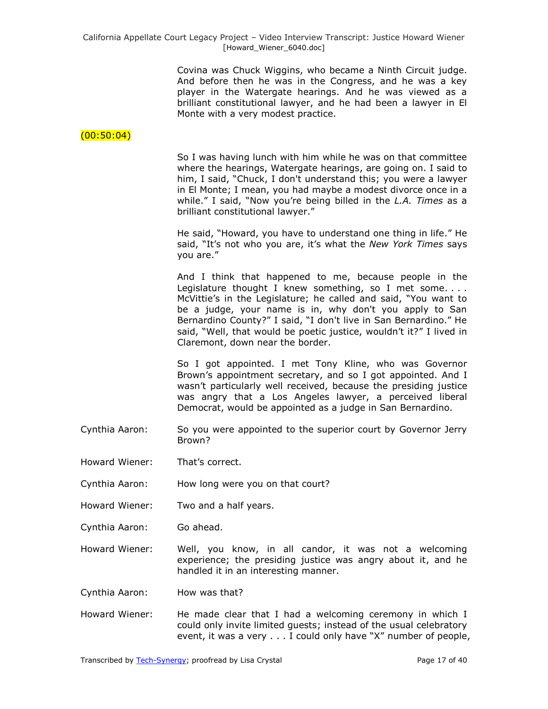Covina was Chuck Wiggins, who became a Ninth Circuit judge. And before then he was in the Congress, and he was a key player in the Watergate hearings. And he was viewed as a brilliant constitutional lawyer, and he had been a lawyer in El Monte with a very modest practice.

### $(00:50:04)$

So I was having lunch with him while he was on that committee where the hearings, Watergate hearings, are going on. I said to him, I said, "Chuck, I don't understand this; you were a lawyer in El Monte; I mean, you had maybe a modest divorce once in a while." I said, "Now you're being billed in the *L.A. Times* as a brilliant constitutional lawyer."

He said, "Howard, you have to understand one thing in life." He said, "It's not who you are, it's what the *New York Times* says you are."

And I think that happened to me, because people in the Legislature thought I knew something, so I met some.... McVittie's in the Legislature; he called and said, "You want to be a judge, your name is in, why don't you apply to San Bernardino County?" I said, "I don't live in San Bernardino." He said, "Well, that would be poetic justice, wouldn't it?" I lived in Claremont, down near the border.

So I got appointed. I met Tony Kline, who was Governor Brown's appointment secretary, and so I got appointed. And I wasn't particularly well received, because the presiding justice was angry that a Los Angeles lawyer, a perceived liberal Democrat, would be appointed as a judge in San Bernardino.

- Cynthia Aaron: So you were appointed to the superior court by Governor Jerry Brown?
- Howard Wiener: That's correct.
- Cynthia Aaron: How long were you on that court?
- Howard Wiener: Two and a half years.
- Cynthia Aaron: Go ahead.

Howard Wiener: Well, you know, in all candor, it was not a welcoming experience; the presiding justice was angry about it, and he handled it in an interesting manner.

Cynthia Aaron: How was that?

Howard Wiener: He made clear that I had a welcoming ceremony in which I could only invite limited guests; instead of the usual celebratory event, it was a very  $\ldots$  I could only have "X" number of people,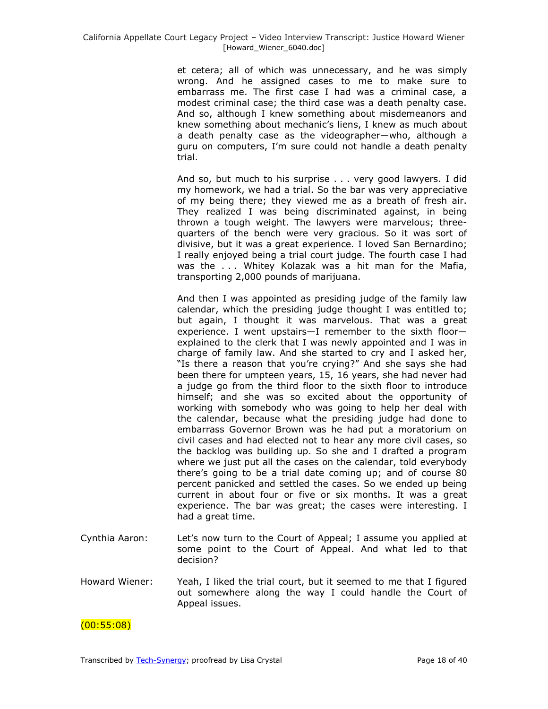et cetera; all of which was unnecessary, and he was simply wrong. And he assigned cases to me to make sure to embarrass me. The first case I had was a criminal case, a modest criminal case; the third case was a death penalty case. And so, although I knew something about misdemeanors and knew something about mechanic's liens, I knew as much about a death penalty case as the videographer—who, although a guru on computers, I'm sure could not handle a death penalty trial.

And so, but much to his surprise . . . very good lawyers. I did my homework, we had a trial. So the bar was very appreciative of my being there; they viewed me as a breath of fresh air. They realized I was being discriminated against, in being thrown a tough weight. The lawyers were marvelous; threequarters of the bench were very gracious. So it was sort of divisive, but it was a great experience. I loved San Bernardino; I really enjoyed being a trial court judge. The fourth case I had was the . . . Whitey Kolazak was a hit man for the Mafia, transporting 2,000 pounds of marijuana.

And then I was appointed as presiding judge of the family law calendar, which the presiding judge thought I was entitled to; but again, I thought it was marvelous. That was a great experience. I went upstairs—I remember to the sixth floor explained to the clerk that I was newly appointed and I was in charge of family law. And she started to cry and I asked her, "Is there a reason that you're crying?" And she says she had been there for umpteen years, 15, 16 years, she had never had a judge go from the third floor to the sixth floor to introduce himself; and she was so excited about the opportunity of working with somebody who was going to help her deal with the calendar, because what the presiding judge had done to embarrass Governor Brown was he had put a moratorium on civil cases and had elected not to hear any more civil cases, so the backlog was building up. So she and I drafted a program where we just put all the cases on the calendar, told everybody there's going to be a trial date coming up; and of course 80 percent panicked and settled the cases. So we ended up being current in about four or five or six months. It was a great experience. The bar was great; the cases were interesting. I had a great time.

- Cynthia Aaron: Let's now turn to the Court of Appeal; I assume you applied at some point to the Court of Appeal. And what led to that decision?
- Howard Wiener: Yeah, I liked the trial court, but it seemed to me that I figured out somewhere along the way I could handle the Court of Appeal issues.

(00:55:08)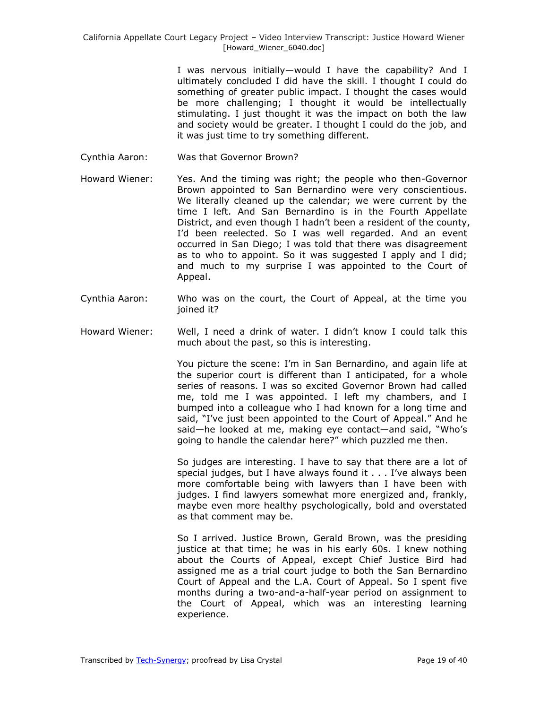I was nervous initially—would I have the capability? And I ultimately concluded I did have the skill. I thought I could do something of greater public impact. I thought the cases would be more challenging; I thought it would be intellectually stimulating. I just thought it was the impact on both the law and society would be greater. I thought I could do the job, and it was just time to try something different.

- Cynthia Aaron: Was that Governor Brown?
- Howard Wiener: Yes. And the timing was right; the people who then-Governor Brown appointed to San Bernardino were very conscientious. We literally cleaned up the calendar; we were current by the time I left. And San Bernardino is in the Fourth Appellate District, and even though I hadn't been a resident of the county, I'd been reelected. So I was well regarded. And an event occurred in San Diego; I was told that there was disagreement as to who to appoint. So it was suggested I apply and I did; and much to my surprise I was appointed to the Court of Appeal.
- Cynthia Aaron: Who was on the court, the Court of Appeal, at the time you joined it?
- Howard Wiener: Well, I need a drink of water. I didn't know I could talk this much about the past, so this is interesting.

You picture the scene: I'm in San Bernardino, and again life at the superior court is different than I anticipated, for a whole series of reasons. I was so excited Governor Brown had called me, told me I was appointed. I left my chambers, and I bumped into a colleague who I had known for a long time and said, "I've just been appointed to the Court of Appeal." And he said—he looked at me, making eye contact—and said, "Who's going to handle the calendar here?" which puzzled me then.

So judges are interesting. I have to say that there are a lot of special judges, but I have always found it . . . I've always been more comfortable being with lawyers than I have been with judges. I find lawyers somewhat more energized and, frankly, maybe even more healthy psychologically, bold and overstated as that comment may be.

So I arrived. Justice Brown, Gerald Brown, was the presiding justice at that time; he was in his early 60s. I knew nothing about the Courts of Appeal, except Chief Justice Bird had assigned me as a trial court judge to both the San Bernardino Court of Appeal and the L.A. Court of Appeal. So I spent five months during a two-and-a-half-year period on assignment to the Court of Appeal, which was an interesting learning experience.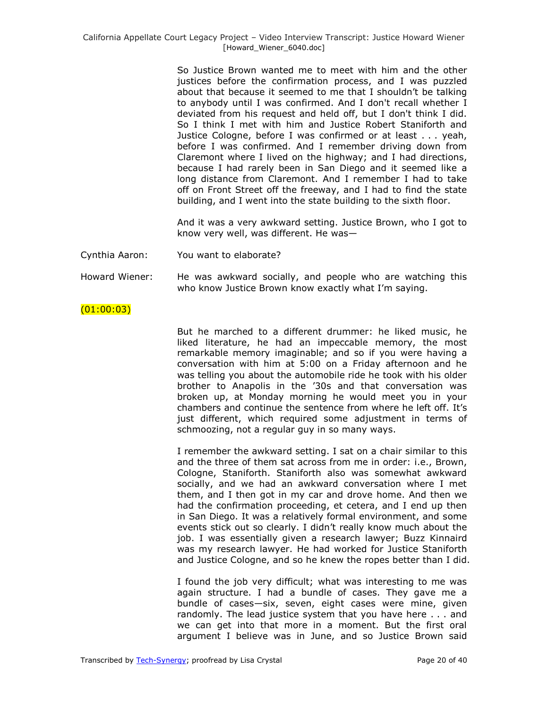So Justice Brown wanted me to meet with him and the other justices before the confirmation process, and I was puzzled about that because it seemed to me that I shouldn't be talking to anybody until I was confirmed. And I don't recall whether I deviated from his request and held off, but I don't think I did. So I think I met with him and Justice Robert Staniforth and Justice Cologne, before I was confirmed or at least . . . yeah, before I was confirmed. And I remember driving down from Claremont where I lived on the highway; and I had directions, because I had rarely been in San Diego and it seemed like a long distance from Claremont. And I remember I had to take off on Front Street off the freeway, and I had to find the state building, and I went into the state building to the sixth floor.

And it was a very awkward setting. Justice Brown, who I got to know very well, was different. He was—

Cynthia Aaron: You want to elaborate?

Howard Wiener: He was awkward socially, and people who are watching this who know Justice Brown know exactly what I'm saying.

### $(01:00:03)$

But he marched to a different drummer: he liked music, he liked literature, he had an impeccable memory, the most remarkable memory imaginable; and so if you were having a conversation with him at 5:00 on a Friday afternoon and he was telling you about the automobile ride he took with his older brother to Anapolis in the '30s and that conversation was broken up, at Monday morning he would meet you in your chambers and continue the sentence from where he left off. It's just different, which required some adjustment in terms of schmoozing, not a regular guy in so many ways.

I remember the awkward setting. I sat on a chair similar to this and the three of them sat across from me in order: i.e., Brown, Cologne, Staniforth. Staniforth also was somewhat awkward socially, and we had an awkward conversation where I met them, and I then got in my car and drove home. And then we had the confirmation proceeding, et cetera, and I end up then in San Diego. It was a relatively formal environment, and some events stick out so clearly. I didn't really know much about the job. I was essentially given a research lawyer; Buzz Kinnaird was my research lawyer. He had worked for Justice Staniforth and Justice Cologne, and so he knew the ropes better than I did.

I found the job very difficult; what was interesting to me was again structure. I had a bundle of cases. They gave me a bundle of cases—six, seven, eight cases were mine, given randomly. The lead justice system that you have here . . . and we can get into that more in a moment. But the first oral argument I believe was in June, and so Justice Brown said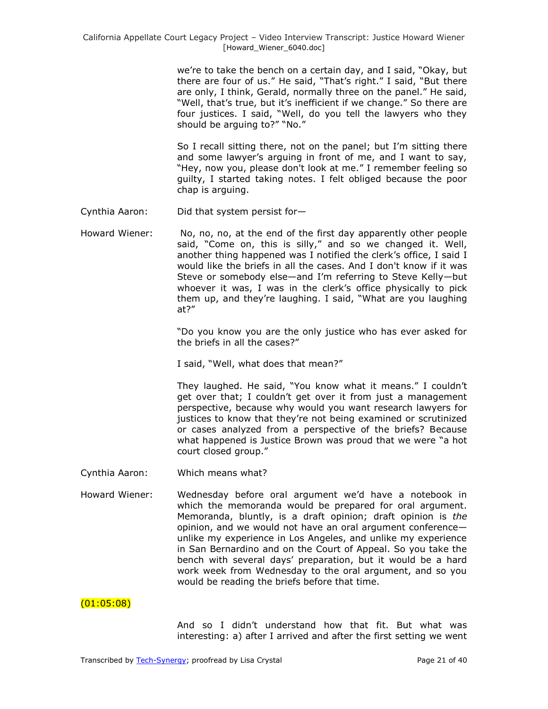we're to take the bench on a certain day, and I said, "Okay, but there are four of us." He said, "That's right." I said, "But there are only, I think, Gerald, normally three on the panel." He said, "Well, that's true, but it's inefficient if we change." So there are four justices. I said, "Well, do you tell the lawyers who thev should be arguing to?" "No."

So I recall sitting there, not on the panel; but I'm sitting there and some lawyer's arguing in front of me, and I want to say, "Hey, now you, please don't look at me." I remember feeling so guilty, I started taking notes. I felt obliged because the poor chap is arguing.

- Cynthia Aaron: Did that system persist for—
- Howard Wiener: No, no, no, at the end of the first day apparently other people said, "Come on, this is silly," and so we changed it. Well, another thing happened was I notified the clerk's office, I said I would like the briefs in all the cases. And I don't know if it was Steve or somebody else—and I'm referring to Steve Kelly—but whoever it was, I was in the clerk's office physically to pick them up, and they're laughing. I said, "What are you laughing at?"

"Do you know you are the only justice who has ever asked for the briefs in all the cases?"

I said, "Well, what does that mean?"

They laughed. He said, "You know what it means." I couldn't get over that; I couldn't get over it from just a management perspective, because why would you want research lawyers for justices to know that they're not being examined or scrutinized or cases analyzed from a perspective of the briefs? Because what happened is Justice Brown was proud that we were "a hot court closed group."

- Cynthia Aaron: Which means what?
- Howard Wiener: Wednesday before oral argument we'd have a notebook in which the memoranda would be prepared for oral argument. Memoranda, bluntly, is a draft opinion; draft opinion is *the* opinion, and we would not have an oral argument conference unlike my experience in Los Angeles, and unlike my experience in San Bernardino and on the Court of Appeal. So you take the bench with several days' preparation, but it would be a hard work week from Wednesday to the oral argument, and so you would be reading the briefs before that time.

 $(01:05:08)$ 

And so I didn't understand how that fit. But what was interesting: a) after I arrived and after the first setting we went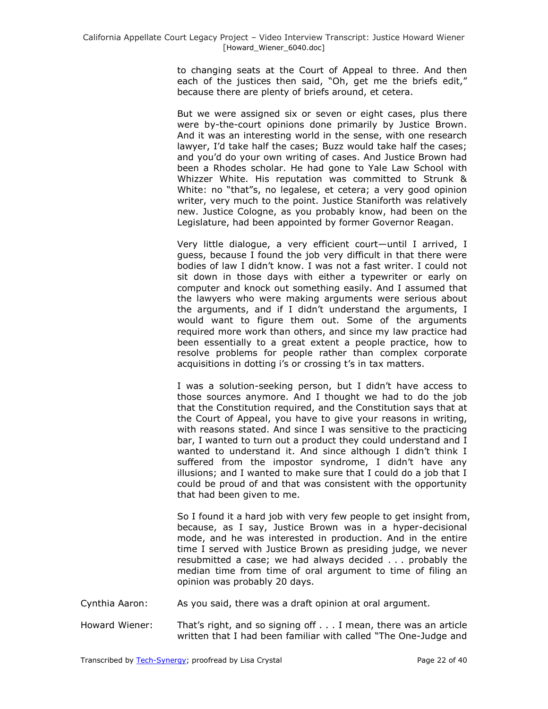to changing seats at the Court of Appeal to three. And then each of the justices then said, "Oh, get me the briefs edit," because there are plenty of briefs around, et cetera.

But we were assigned six or seven or eight cases, plus there were by-the-court opinions done primarily by Justice Brown. And it was an interesting world in the sense, with one research lawyer, I'd take half the cases; Buzz would take half the cases; and you'd do your own writing of cases. And Justice Brown had been a Rhodes scholar. He had gone to Yale Law School with Whizzer White. His reputation was committed to Strunk & White: no "that"s, no legalese, et cetera; a very good opinion writer, very much to the point. Justice Staniforth was relatively new. Justice Cologne, as you probably know, had been on the Legislature, had been appointed by former Governor Reagan.

Very little dialogue, a very efficient court—until I arrived, I guess, because I found the job very difficult in that there were bodies of law I didn't know. I was not a fast writer. I could not sit down in those days with either a typewriter or early on computer and knock out something easily. And I assumed that the lawyers who were making arguments were serious about the arguments, and if I didn't understand the arguments, I would want to figure them out. Some of the arguments required more work than others, and since my law practice had been essentially to a great extent a people practice, how to resolve problems for people rather than complex corporate acquisitions in dotting i's or crossing t's in tax matters.

I was a solution-seeking person, but I didn't have access to those sources anymore. And I thought we had to do the job that the Constitution required, and the Constitution says that at the Court of Appeal, you have to give your reasons in writing, with reasons stated. And since I was sensitive to the practicing bar, I wanted to turn out a product they could understand and I wanted to understand it. And since although I didn't think I suffered from the impostor syndrome, I didn't have any illusions; and I wanted to make sure that I could do a job that I could be proud of and that was consistent with the opportunity that had been given to me.

So I found it a hard job with very few people to get insight from, because, as I say, Justice Brown was in a hyper-decisional mode, and he was interested in production. And in the entire time I served with Justice Brown as presiding judge, we never resubmitted a case; we had always decided . . . probably the median time from time of oral argument to time of filing an opinion was probably 20 days.

- Cynthia Aaron: As you said, there was a draft opinion at oral argument.
- Howard Wiener: That's right, and so signing off . . . I mean, there was an article written that I had been familiar with called "The One-Judge and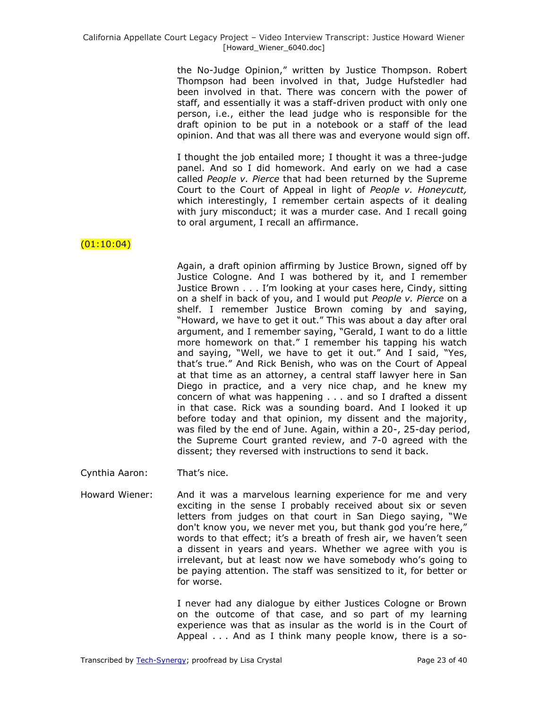the No-Judge Opinion," written by Justice Thompson. Robert Thompson had been involved in that, Judge Hufstedler had been involved in that. There was concern with the power of staff, and essentially it was a staff-driven product with only one person, i.e., either the lead judge who is responsible for the draft opinion to be put in a notebook or a staff of the lead opinion. And that was all there was and everyone would sign off.

I thought the job entailed more; I thought it was a three-judge panel. And so I did homework. And early on we had a case called *People v. Pierce* that had been returned by the Supreme Court to the Court of Appeal in light of *People v. Honeycutt,*  which interestingly, I remember certain aspects of it dealing with jury misconduct; it was a murder case. And I recall going to oral argument, I recall an affirmance.

# $(01:10:04)$

Again, a draft opinion affirming by Justice Brown, signed off by Justice Cologne. And I was bothered by it, and I remember Justice Brown . . . I'm looking at your cases here, Cindy, sitting on a shelf in back of you, and I would put *People v. Pierce* on a shelf. I remember Justice Brown coming by and saying, "Howard, we have to get it out." This was about a day after oral argument, and I remember saying, "Gerald, I want to do a little more homework on that." I remember his tapping his watch and saying, "Well, we have to get it out." And I said, "Yes, that's true.‖ And Rick Benish, who was on the Court of Appeal at that time as an attorney, a central staff lawyer here in San Diego in practice, and a very nice chap, and he knew my concern of what was happening . . . and so I drafted a dissent in that case. Rick was a sounding board. And I looked it up before today and that opinion, my dissent and the majority, was filed by the end of June. Again, within a 20-, 25-day period, the Supreme Court granted review, and 7-0 agreed with the dissent; they reversed with instructions to send it back.

- Cynthia Aaron: That's nice.
- Howard Wiener: And it was a marvelous learning experience for me and very exciting in the sense I probably received about six or seven letters from judges on that court in San Diego saying, "We don't know you, we never met you, but thank god you're here," words to that effect; it's a breath of fresh air, we haven't seen a dissent in years and years. Whether we agree with you is irrelevant, but at least now we have somebody who's going to be paying attention. The staff was sensitized to it, for better or for worse.

I never had any dialogue by either Justices Cologne or Brown on the outcome of that case, and so part of my learning experience was that as insular as the world is in the Court of Appeal . . . And as I think many people know, there is a so-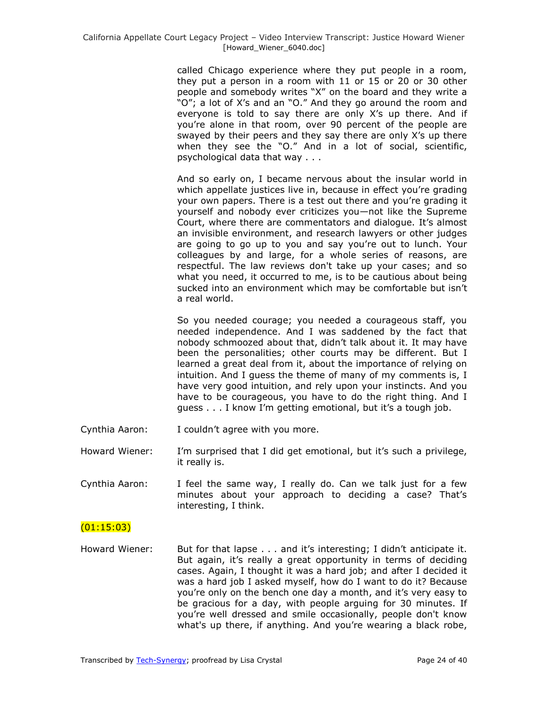called Chicago experience where they put people in a room, they put a person in a room with 11 or 15 or 20 or 30 other people and somebody writes "X" on the board and they write a "O"; a lot of X's and an "O." And they go around the room and everyone is told to say there are only X's up there. And if you're alone in that room, over 90 percent of the people are swayed by their peers and they say there are only X's up there when they see the "O." And in a lot of social, scientific, psychological data that way . . .

And so early on, I became nervous about the insular world in which appellate justices live in, because in effect you're grading your own papers. There is a test out there and you're grading it yourself and nobody ever criticizes you—not like the Supreme Court, where there are commentators and dialogue. It's almost an invisible environment, and research lawyers or other judges are going to go up to you and say you're out to lunch. Your colleagues by and large, for a whole series of reasons, are respectful. The law reviews don't take up your cases; and so what you need, it occurred to me, is to be cautious about being sucked into an environment which may be comfortable but isn't a real world.

So you needed courage; you needed a courageous staff, you needed independence. And I was saddened by the fact that nobody schmoozed about that, didn't talk about it. It may have been the personalities; other courts may be different. But I learned a great deal from it, about the importance of relying on intuition. And I guess the theme of many of my comments is, I have very good intuition, and rely upon your instincts. And you have to be courageous, you have to do the right thing. And I guess . . . I know I'm getting emotional, but it's a tough job.

- Cynthia Aaron: I couldn't agree with you more.
- Howard Wiener: I'm surprised that I did get emotional, but it's such a privilege, it really is.
- Cynthia Aaron: I feel the same way, I really do. Can we talk just for a few minutes about your approach to deciding a case? That's interesting, I think.

# $(01:15:03)$

Howard Wiener: But for that lapse . . . and it's interesting; I didn't anticipate it. But again, it's really a great opportunity in terms of deciding cases. Again, I thought it was a hard job; and after I decided it was a hard job I asked myself, how do I want to do it? Because you're only on the bench one day a month, and it's very easy to be gracious for a day, with people arguing for 30 minutes. If you're well dressed and smile occasionally, people don't know what's up there, if anything. And you're wearing a black robe,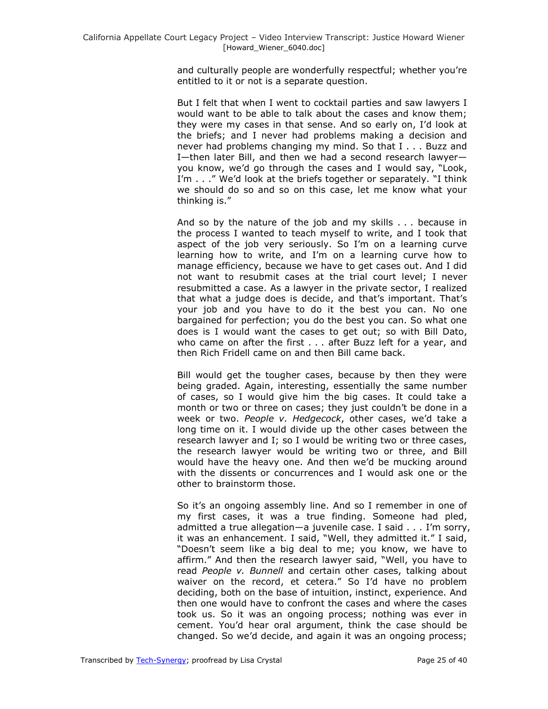and culturally people are wonderfully respectful; whether you're entitled to it or not is a separate question.

But I felt that when I went to cocktail parties and saw lawyers I would want to be able to talk about the cases and know them; they were my cases in that sense. And so early on, I'd look at the briefs; and I never had problems making a decision and never had problems changing my mind. So that I . . . Buzz and I—then later Bill, and then we had a second research lawyer you know, we'd go through the cases and I would say, "Look, I'm  $\ldots$  ." We'd look at the briefs together or separately. "I think we should do so and so on this case, let me know what your thinking is."

And so by the nature of the job and my skills . . . because in the process I wanted to teach myself to write, and I took that aspect of the job very seriously. So I'm on a learning curve learning how to write, and I'm on a learning curve how to manage efficiency, because we have to get cases out. And I did not want to resubmit cases at the trial court level; I never resubmitted a case. As a lawyer in the private sector, I realized that what a judge does is decide, and that's important. That's your job and you have to do it the best you can. No one bargained for perfection; you do the best you can. So what one does is I would want the cases to get out; so with Bill Dato, who came on after the first . . . after Buzz left for a year, and then Rich Fridell came on and then Bill came back.

Bill would get the tougher cases, because by then they were being graded. Again, interesting, essentially the same number of cases, so I would give him the big cases. It could take a month or two or three on cases; they just couldn't be done in a week or two. *People v. Hedgecock*, other cases, we'd take a long time on it. I would divide up the other cases between the research lawyer and I; so I would be writing two or three cases, the research lawyer would be writing two or three, and Bill would have the heavy one. And then we'd be mucking around with the dissents or concurrences and I would ask one or the other to brainstorm those.

So it's an ongoing assembly line. And so I remember in one of my first cases, it was a true finding. Someone had pled, admitted a true allegation—a juvenile case. I said . . . I'm sorry, it was an enhancement. I said, "Well, they admitted it." I said, ―Doesn't seem like a big deal to me; you know, we have to affirm." And then the research lawyer said, "Well, you have to read *People v. Bunnell* and certain other cases, talking about waiver on the record, et cetera." So I'd have no problem deciding, both on the base of intuition, instinct, experience. And then one would have to confront the cases and where the cases took us. So it was an ongoing process; nothing was ever in cement. You'd hear oral argument, think the case should be changed. So we'd decide, and again it was an ongoing process;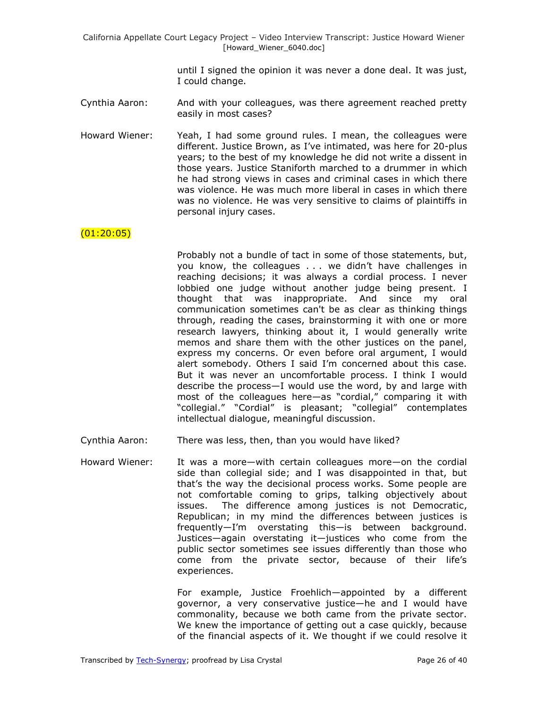> until I signed the opinion it was never a done deal. It was just, I could change.

- Cynthia Aaron: And with your colleagues, was there agreement reached pretty easily in most cases?
- Howard Wiener: Yeah, I had some ground rules. I mean, the colleagues were different. Justice Brown, as I've intimated, was here for 20-plus years; to the best of my knowledge he did not write a dissent in those years. Justice Staniforth marched to a drummer in which he had strong views in cases and criminal cases in which there was violence. He was much more liberal in cases in which there was no violence. He was very sensitive to claims of plaintiffs in personal injury cases.

### $(01:20:05)$

Probably not a bundle of tact in some of those statements, but, you know, the colleagues . . . we didn't have challenges in reaching decisions; it was always a cordial process. I never lobbied one judge without another judge being present. I thought that was inappropriate. And since my oral communication sometimes can't be as clear as thinking things through, reading the cases, brainstorming it with one or more research lawyers, thinking about it, I would generally write memos and share them with the other justices on the panel, express my concerns. Or even before oral argument, I would alert somebody. Others I said I'm concerned about this case. But it was never an uncomfortable process. I think I would describe the process—I would use the word, by and large with most of the colleagues here-as "cordial," comparing it with "collegial." "Cordial" is pleasant; "collegial" contemplates intellectual dialogue, meaningful discussion.

- Cynthia Aaron: There was less, then, than you would have liked?
- Howard Wiener: It was a more—with certain colleagues more—on the cordial side than collegial side; and I was disappointed in that, but that's the way the decisional process works. Some people are not comfortable coming to grips, talking objectively about issues. The difference among justices is not Democratic, Republican; in my mind the differences between justices is frequently—I'm overstating this—is between background. Justices—again overstating it—justices who come from the public sector sometimes see issues differently than those who come from the private sector, because of their life's experiences.

For example, Justice Froehlich—appointed by a different governor, a very conservative justice—he and I would have commonality, because we both came from the private sector. We knew the importance of getting out a case quickly, because of the financial aspects of it. We thought if we could resolve it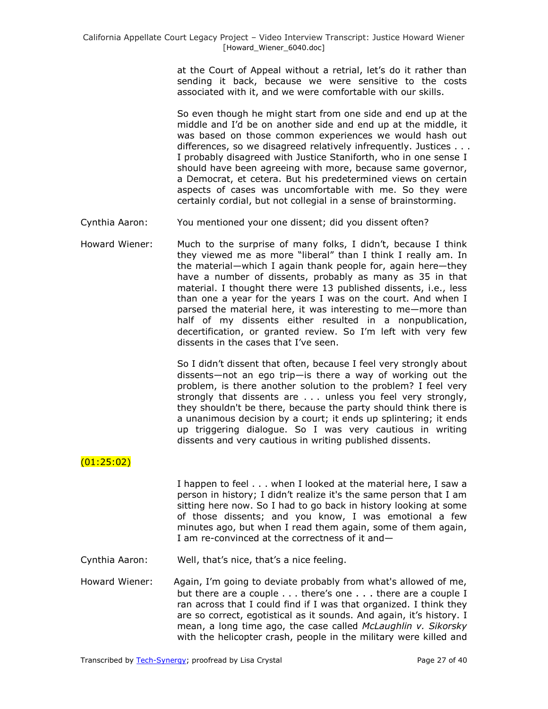at the Court of Appeal without a retrial, let's do it rather than sending it back, because we were sensitive to the costs associated with it, and we were comfortable with our skills.

So even though he might start from one side and end up at the middle and I'd be on another side and end up at the middle, it was based on those common experiences we would hash out differences, so we disagreed relatively infrequently. Justices . . . I probably disagreed with Justice Staniforth, who in one sense I should have been agreeing with more, because same governor, a Democrat, et cetera. But his predetermined views on certain aspects of cases was uncomfortable with me. So they were certainly cordial, but not collegial in a sense of brainstorming.

- Cynthia Aaron: You mentioned your one dissent; did you dissent often?
- Howard Wiener: Much to the surprise of many folks, I didn't, because I think they viewed me as more "liberal" than I think I really am. In the material—which I again thank people for, again here—they have a number of dissents, probably as many as 35 in that material. I thought there were 13 published dissents, i.e., less than one a year for the years I was on the court. And when I parsed the material here, it was interesting to me—more than half of my dissents either resulted in a nonpublication, decertification, or granted review. So I'm left with very few dissents in the cases that I've seen.

So I didn't dissent that often, because I feel very strongly about dissents—not an ego trip—is there a way of working out the problem, is there another solution to the problem? I feel very strongly that dissents are . . . unless you feel very strongly, they shouldn't be there, because the party should think there is a unanimous decision by a court; it ends up splintering; it ends up triggering dialogue. So I was very cautious in writing dissents and very cautious in writing published dissents.

# (01:25:02)

I happen to feel . . . when I looked at the material here, I saw a person in history; I didn't realize it's the same person that I am sitting here now. So I had to go back in history looking at some of those dissents; and you know, I was emotional a few minutes ago, but when I read them again, some of them again, I am re-convinced at the correctness of it and—

- Cynthia Aaron: Well, that's nice, that's a nice feeling.
- Howard Wiener: Again, I'm going to deviate probably from what's allowed of me, but there are a couple . . . there's one . . . there are a couple I ran across that I could find if I was that organized. I think they are so correct, egotistical as it sounds. And again, it's history. I mean, a long time ago, the case called *McLaughlin v. Sikorsky* with the helicopter crash, people in the military were killed and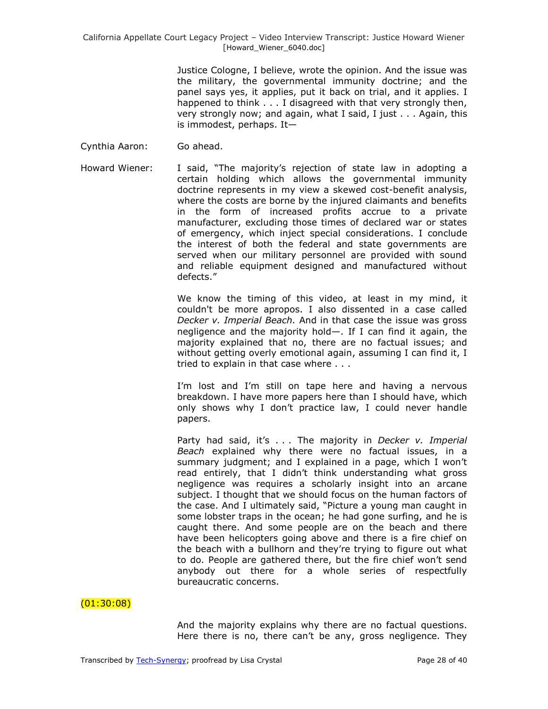Justice Cologne, I believe, wrote the opinion. And the issue was the military, the governmental immunity doctrine; and the panel says yes, it applies, put it back on trial, and it applies. I happened to think . . . I disagreed with that very strongly then, very strongly now; and again, what I said, I just . . . Again, this is immodest, perhaps. It—

- Cynthia Aaron: Go ahead.
- Howard Wiener: I said, "The majority's rejection of state law in adopting a certain holding which allows the governmental immunity doctrine represents in my view a skewed cost-benefit analysis, where the costs are borne by the injured claimants and benefits in the form of increased profits accrue to a private manufacturer, excluding those times of declared war or states of emergency, which inject special considerations. I conclude the interest of both the federal and state governments are served when our military personnel are provided with sound and reliable equipment designed and manufactured without defects."

We know the timing of this video, at least in my mind, it couldn't be more apropos. I also dissented in a case called *Decker v. Imperial Beach.* And in that case the issue was gross negligence and the majority hold—. If I can find it again, the majority explained that no, there are no factual issues; and without getting overly emotional again, assuming I can find it, I tried to explain in that case where . . .

I'm lost and I'm still on tape here and having a nervous breakdown. I have more papers here than I should have, which only shows why I don't practice law, I could never handle papers.

Party had said, it's . . . The majority in *Decker v. Imperial Beach* explained why there were no factual issues, in a summary judgment; and I explained in a page, which I won't read entirely, that I didn't think understanding what gross negligence was requires a scholarly insight into an arcane subject. I thought that we should focus on the human factors of the case. And I ultimately said, "Picture a young man caught in some lobster traps in the ocean; he had gone surfing, and he is caught there. And some people are on the beach and there have been helicopters going above and there is a fire chief on the beach with a bullhorn and they're trying to figure out what to do. People are gathered there, but the fire chief won't send anybody out there for a whole series of respectfully bureaucratic concerns.

# $(01:30:08)$

And the majority explains why there are no factual questions. Here there is no, there can't be any, gross negligence. They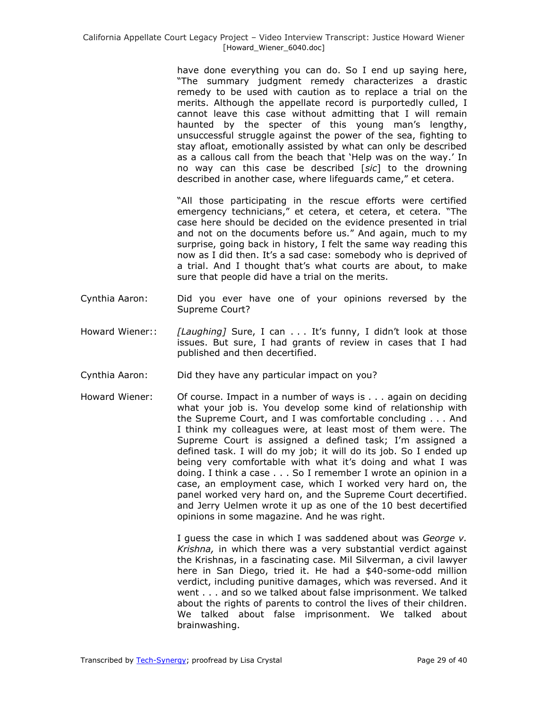have done everything you can do. So I end up saying here, "The summary judgment remedy characterizes a drastic remedy to be used with caution as to replace a trial on the merits. Although the appellate record is purportedly culled, I cannot leave this case without admitting that I will remain haunted by the specter of this young man's lengthy, unsuccessful struggle against the power of the sea, fighting to stay afloat, emotionally assisted by what can only be described as a callous call from the beach that 'Help was on the way.' In no way can this case be described [*sic*] to the drowning described in another case, where lifeguards came," et cetera.

"All those participating in the rescue efforts were certified emergency technicians," et cetera, et cetera, et cetera. "The case here should be decided on the evidence presented in trial and not on the documents before us." And again, much to my surprise, going back in history, I felt the same way reading this now as I did then. It's a sad case: somebody who is deprived of a trial. And I thought that's what courts are about, to make sure that people did have a trial on the merits.

- Cynthia Aaron: Did you ever have one of your opinions reversed by the Supreme Court?
- Howard Wiener:: *[Laughing]* Sure, I can . . . It's funny, I didn't look at those issues. But sure, I had grants of review in cases that I had published and then decertified.
- Cynthia Aaron: Did they have any particular impact on you?
- Howard Wiener: Of course. Impact in a number of ways is . . . again on deciding what your job is. You develop some kind of relationship with the Supreme Court, and I was comfortable concluding . . . And I think my colleagues were, at least most of them were. The Supreme Court is assigned a defined task; I'm assigned a defined task. I will do my job; it will do its job. So I ended up being very comfortable with what it's doing and what I was doing. I think a case . . . So I remember I wrote an opinion in a case, an employment case, which I worked very hard on, the panel worked very hard on, and the Supreme Court decertified. and Jerry Uelmen wrote it up as one of the 10 best decertified opinions in some magazine. And he was right.

I guess the case in which I was saddened about was *George v. Krishna,* in which there was a very substantial verdict against the Krishnas, in a fascinating case. Mil Silverman, a civil lawyer here in San Diego, tried it. He had a \$40-some-odd million verdict, including punitive damages, which was reversed. And it went . . . and so we talked about false imprisonment. We talked about the rights of parents to control the lives of their children. We talked about false imprisonment. We talked about brainwashing.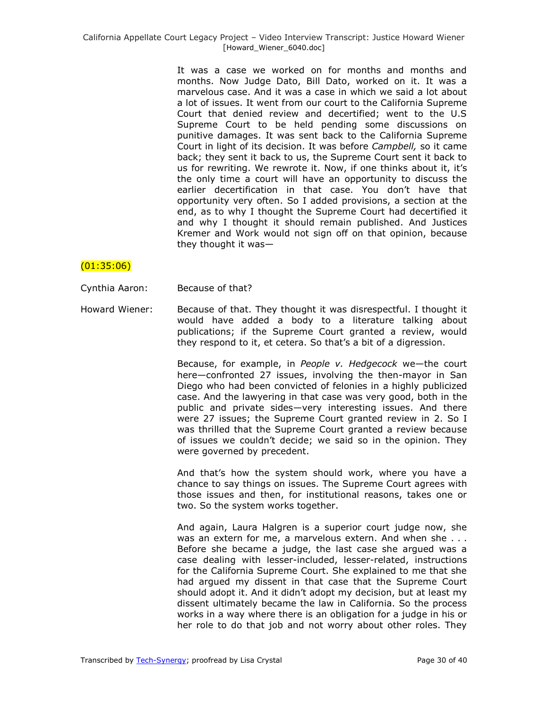It was a case we worked on for months and months and months. Now Judge Dato, Bill Dato, worked on it. It was a marvelous case. And it was a case in which we said a lot about a lot of issues. It went from our court to the California Supreme Court that denied review and decertified; went to the U.S Supreme Court to be held pending some discussions on punitive damages. It was sent back to the California Supreme Court in light of its decision. It was before *Campbell,* so it came back; they sent it back to us, the Supreme Court sent it back to us for rewriting. We rewrote it. Now, if one thinks about it, it's the only time a court will have an opportunity to discuss the earlier decertification in that case. You don't have that opportunity very often. So I added provisions, a section at the end, as to why I thought the Supreme Court had decertified it and why I thought it should remain published. And Justices Kremer and Work would not sign off on that opinion, because they thought it was—

## $(01:35:06)$

Cynthia Aaron: Because of that?

Howard Wiener: Because of that. They thought it was disrespectful. I thought it would have added a body to a literature talking about publications; if the Supreme Court granted a review, would they respond to it, et cetera. So that's a bit of a digression.

> Because, for example, in *People v. Hedgecock* we—the court here—confronted 27 issues, involving the then-mayor in San Diego who had been convicted of felonies in a highly publicized case. And the lawyering in that case was very good, both in the public and private sides—very interesting issues. And there were 27 issues; the Supreme Court granted review in 2. So I was thrilled that the Supreme Court granted a review because of issues we couldn't decide; we said so in the opinion. They were governed by precedent.

> And that's how the system should work, where you have a chance to say things on issues. The Supreme Court agrees with those issues and then, for institutional reasons, takes one or two. So the system works together.

> And again, Laura Halgren is a superior court judge now, she was an extern for me, a marvelous extern. And when she . . . Before she became a judge, the last case she argued was a case dealing with lesser-included, lesser-related, instructions for the California Supreme Court. She explained to me that she had argued my dissent in that case that the Supreme Court should adopt it. And it didn't adopt my decision, but at least my dissent ultimately became the law in California. So the process works in a way where there is an obligation for a judge in his or her role to do that job and not worry about other roles. They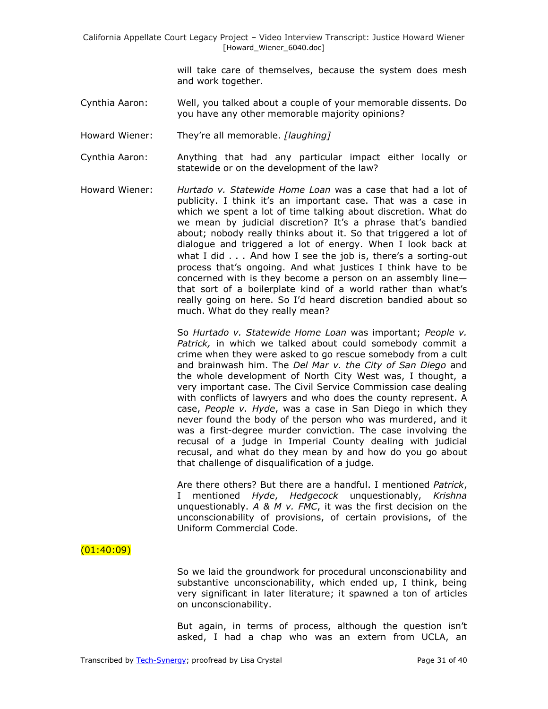> will take care of themselves, because the system does mesh and work together.

- Cynthia Aaron: Well, you talked about a couple of your memorable dissents. Do you have any other memorable majority opinions?
- Howard Wiener: They're all memorable. *[laughing]*
- Cynthia Aaron: Anything that had any particular impact either locally or statewide or on the development of the law?
- Howard Wiener: *Hurtado v. Statewide Home Loan* was a case that had a lot of publicity. I think it's an important case. That was a case in which we spent a lot of time talking about discretion. What do we mean by judicial discretion? It's a phrase that's bandied about; nobody really thinks about it. So that triggered a lot of dialogue and triggered a lot of energy. When I look back at what I did . . . And how I see the job is, there's a sorting-out process that's ongoing. And what justices I think have to be concerned with is they become a person on an assembly line that sort of a boilerplate kind of a world rather than what's really going on here. So I'd heard discretion bandied about so much. What do they really mean?

So *Hurtado v. Statewide Home Loan* was important; *People v. Patrick,* in which we talked about could somebody commit a crime when they were asked to go rescue somebody from a cult and brainwash him. The *Del Mar v. the City of San Diego* and the whole development of North City West was, I thought, a very important case. The Civil Service Commission case dealing with conflicts of lawyers and who does the county represent. A case, *People v. Hyde*, was a case in San Diego in which they never found the body of the person who was murdered, and it was a first-degree murder conviction. The case involving the recusal of a judge in Imperial County dealing with judicial recusal, and what do they mean by and how do you go about that challenge of disqualification of a judge.

Are there others? But there are a handful. I mentioned *Patrick*, I mentioned *Hyde*, *Hedgecock* unquestionably, *Krishna* unquestionably. *A & M v. FMC*, it was the first decision on the unconscionability of provisions, of certain provisions, of the Uniform Commercial Code.

#### $(01:40:09)$

So we laid the groundwork for procedural unconscionability and substantive unconscionability, which ended up, I think, being very significant in later literature; it spawned a ton of articles on unconscionability.

But again, in terms of process, although the question isn't asked, I had a chap who was an extern from UCLA, an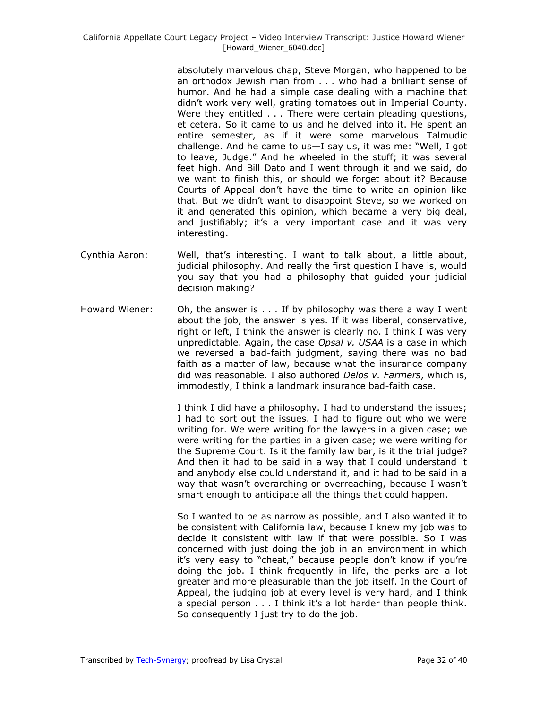absolutely marvelous chap, Steve Morgan, who happened to be an orthodox Jewish man from . . . who had a brilliant sense of humor. And he had a simple case dealing with a machine that didn't work very well, grating tomatoes out in Imperial County. Were they entitled . . . There were certain pleading questions, et cetera. So it came to us and he delved into it. He spent an entire semester, as if it were some marvelous Talmudic challenge. And he came to us $-1$  say us, it was me: "Well, I got to leave, Judge." And he wheeled in the stuff; it was several feet high. And Bill Dato and I went through it and we said, do we want to finish this, or should we forget about it? Because Courts of Appeal don't have the time to write an opinion like that. But we didn't want to disappoint Steve, so we worked on it and generated this opinion, which became a very big deal, and justifiably; it's a very important case and it was very interesting.

- Cynthia Aaron: Well, that's interesting. I want to talk about, a little about, judicial philosophy. And really the first question I have is, would you say that you had a philosophy that guided your judicial decision making?
- Howard Wiener: Oh, the answer is . . . If by philosophy was there a way I went about the job, the answer is yes. If it was liberal, conservative, right or left, I think the answer is clearly no. I think I was very unpredictable. Again, the case *Opsal v. USAA* is a case in which we reversed a bad-faith judgment, saying there was no bad faith as a matter of law, because what the insurance company did was reasonable. I also authored *Delos v. Farmers*, which is, immodestly, I think a landmark insurance bad-faith case.

I think I did have a philosophy. I had to understand the issues; I had to sort out the issues. I had to figure out who we were writing for. We were writing for the lawyers in a given case; we were writing for the parties in a given case; we were writing for the Supreme Court. Is it the family law bar, is it the trial judge? And then it had to be said in a way that I could understand it and anybody else could understand it, and it had to be said in a way that wasn't overarching or overreaching, because I wasn't smart enough to anticipate all the things that could happen.

So I wanted to be as narrow as possible, and I also wanted it to be consistent with California law, because I knew my job was to decide it consistent with law if that were possible. So I was concerned with just doing the job in an environment in which it's very easy to "cheat," because people don't know if you're doing the job. I think frequently in life, the perks are a lot greater and more pleasurable than the job itself. In the Court of Appeal, the judging job at every level is very hard, and I think a special person . . . I think it's a lot harder than people think. So consequently I just try to do the job.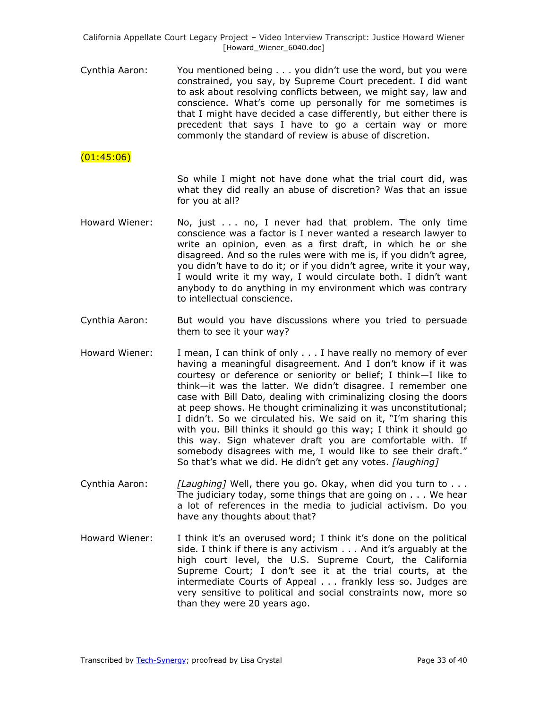Cynthia Aaron: You mentioned being . . . you didn't use the word, but you were constrained, you say, by Supreme Court precedent. I did want to ask about resolving conflicts between, we might say, law and conscience. What's come up personally for me sometimes is that I might have decided a case differently, but either there is precedent that says I have to go a certain way or more commonly the standard of review is abuse of discretion.

## $(01:45:06)$

So while I might not have done what the trial court did, was what they did really an abuse of discretion? Was that an issue for you at all?

- Howard Wiener: No, just . . . no, I never had that problem. The only time conscience was a factor is I never wanted a research lawyer to write an opinion, even as a first draft, in which he or she disagreed. And so the rules were with me is, if you didn't agree, you didn't have to do it; or if you didn't agree, write it your way, I would write it my way, I would circulate both. I didn't want anybody to do anything in my environment which was contrary to intellectual conscience.
- Cynthia Aaron: But would you have discussions where you tried to persuade them to see it your way?
- Howard Wiener: I mean, I can think of only . . . I have really no memory of ever having a meaningful disagreement. And I don't know if it was courtesy or deference or seniority or belief; I think—I like to think—it was the latter. We didn't disagree. I remember one case with Bill Dato, dealing with criminalizing closing the doors at peep shows. He thought criminalizing it was unconstitutional; I didn't. So we circulated his. We said on it, "I'm sharing this with you. Bill thinks it should go this way; I think it should go this way. Sign whatever draft you are comfortable with. If somebody disagrees with me, I would like to see their draft." So that's what we did. He didn't get any votes. *[laughing]*
- Cynthia Aaron: *[Laughing]* Well, there you go. Okay, when did you turn to . . . The judiciary today, some things that are going on . . . We hear a lot of references in the media to judicial activism. Do you have any thoughts about that?
- Howard Wiener: I think it's an overused word; I think it's done on the political side. I think if there is any activism . . . And it's arguably at the high court level, the U.S. Supreme Court, the California Supreme Court; I don't see it at the trial courts, at the intermediate Courts of Appeal . . . frankly less so. Judges are very sensitive to political and social constraints now, more so than they were 20 years ago.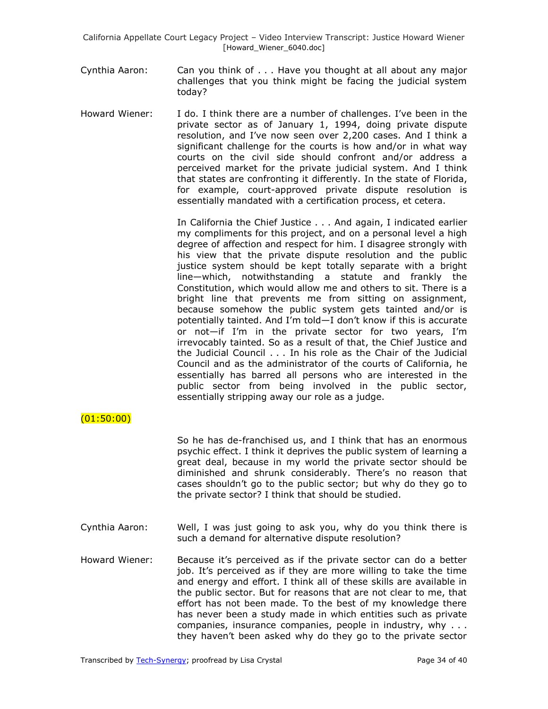- Cynthia Aaron: Can you think of . . . Have you thought at all about any major challenges that you think might be facing the judicial system today?
- Howard Wiener: I do. I think there are a number of challenges. I've been in the private sector as of January 1, 1994, doing private dispute resolution, and I've now seen over 2,200 cases. And I think a significant challenge for the courts is how and/or in what way courts on the civil side should confront and/or address a perceived market for the private judicial system. And I think that states are confronting it differently. In the state of Florida, for example, court-approved private dispute resolution is essentially mandated with a certification process, et cetera.

In California the Chief Justice . . . And again, I indicated earlier my compliments for this project, and on a personal level a high degree of affection and respect for him. I disagree strongly with his view that the private dispute resolution and the public justice system should be kept totally separate with a bright line—which, notwithstanding a statute and frankly the Constitution, which would allow me and others to sit. There is a bright line that prevents me from sitting on assignment, because somehow the public system gets tainted and/or is potentially tainted. And I'm told—I don't know if this is accurate or not—if I'm in the private sector for two years, I'm irrevocably tainted. So as a result of that, the Chief Justice and the Judicial Council . . . In his role as the Chair of the Judicial Council and as the administrator of the courts of California, he essentially has barred all persons who are interested in the public sector from being involved in the public sector, essentially stripping away our role as a judge.

## $(01:50:00)$

So he has de-franchised us, and I think that has an enormous psychic effect. I think it deprives the public system of learning a great deal, because in my world the private sector should be diminished and shrunk considerably. There's no reason that cases shouldn't go to the public sector; but why do they go to the private sector? I think that should be studied.

- Cynthia Aaron: Well, I was just going to ask you, why do you think there is such a demand for alternative dispute resolution?
- Howard Wiener: Because it's perceived as if the private sector can do a better job. It's perceived as if they are more willing to take the time and energy and effort. I think all of these skills are available in the public sector. But for reasons that are not clear to me, that effort has not been made. To the best of my knowledge there has never been a study made in which entities such as private companies, insurance companies, people in industry, why . . . they haven't been asked why do they go to the private sector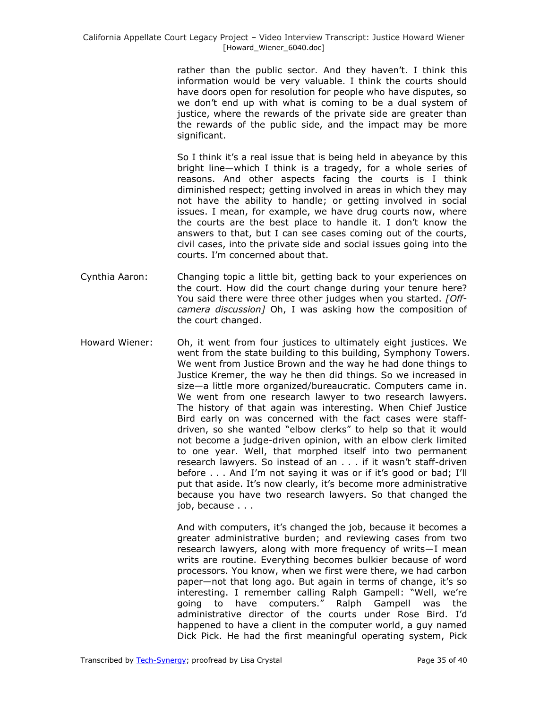rather than the public sector. And they haven't. I think this information would be very valuable. I think the courts should have doors open for resolution for people who have disputes, so we don't end up with what is coming to be a dual system of justice, where the rewards of the private side are greater than the rewards of the public side, and the impact may be more significant.

So I think it's a real issue that is being held in abeyance by this bright line—which I think is a tragedy, for a whole series of reasons. And other aspects facing the courts is I think diminished respect; getting involved in areas in which they may not have the ability to handle; or getting involved in social issues. I mean, for example, we have drug courts now, where the courts are the best place to handle it. I don't know the answers to that, but I can see cases coming out of the courts, civil cases, into the private side and social issues going into the courts. I'm concerned about that.

- Cynthia Aaron: Changing topic a little bit, getting back to your experiences on the court. How did the court change during your tenure here? You said there were three other judges when you started. *[Offcamera discussion]* Oh, I was asking how the composition of the court changed.
- Howard Wiener: Oh, it went from four justices to ultimately eight justices. We went from the state building to this building, Symphony Towers. We went from Justice Brown and the way he had done things to Justice Kremer, the way he then did things. So we increased in size—a little more organized/bureaucratic. Computers came in. We went from one research lawyer to two research lawyers. The history of that again was interesting. When Chief Justice Bird early on was concerned with the fact cases were staffdriven, so she wanted "elbow clerks" to help so that it would not become a judge-driven opinion, with an elbow clerk limited to one year. Well, that morphed itself into two permanent research lawyers. So instead of an . . . if it wasn't staff-driven before . . . And I'm not saying it was or if it's good or bad; I'll put that aside. It's now clearly, it's become more administrative because you have two research lawyers. So that changed the job, because . . .

And with computers, it's changed the job, because it becomes a greater administrative burden; and reviewing cases from two research lawyers, along with more frequency of writs—I mean writs are routine. Everything becomes bulkier because of word processors. You know, when we first were there, we had carbon paper—not that long ago. But again in terms of change, it's so interesting. I remember calling Ralph Gampell: "Well, we're going to have computers." Ralph Gampell was the administrative director of the courts under Rose Bird. I'd happened to have a client in the computer world, a guy named Dick Pick. He had the first meaningful operating system, Pick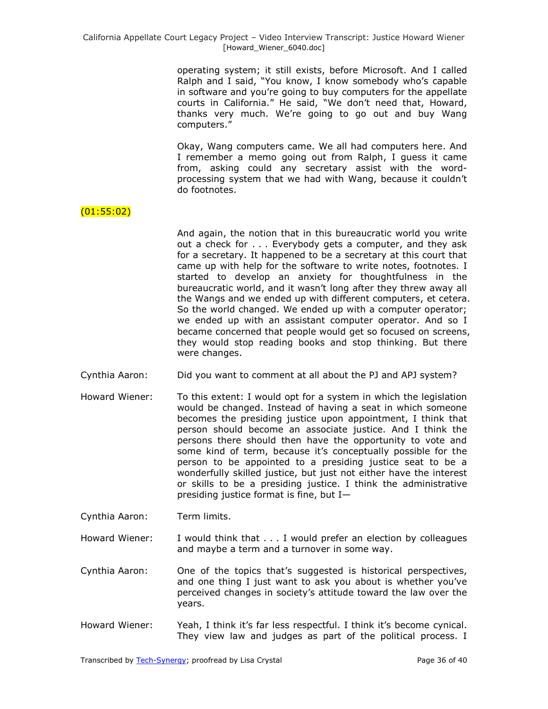operating system; it still exists, before Microsoft. And I called Ralph and I said, "You know, I know somebody who's capable in software and you're going to buy computers for the appellate courts in California." He said, "We don't need that, Howard, thanks very much. We're going to go out and buy Wang computers."

Okay, Wang computers came. We all had computers here. And I remember a memo going out from Ralph, I guess it came from, asking could any secretary assist with the wordprocessing system that we had with Wang, because it couldn't do footnotes.

# $(01:55:02)$

- And again, the notion that in this bureaucratic world you write out a check for . . . Everybody gets a computer, and they ask for a secretary. It happened to be a secretary at this court that came up with help for the software to write notes, footnotes. I started to develop an anxiety for thoughtfulness in the bureaucratic world, and it wasn't long after they threw away all the Wangs and we ended up with different computers, et cetera. So the world changed. We ended up with a computer operator; we ended up with an assistant computer operator. And so I became concerned that people would get so focused on screens, they would stop reading books and stop thinking. But there were changes.
- Cynthia Aaron: Did you want to comment at all about the PJ and APJ system?
- Howard Wiener: To this extent: I would opt for a system in which the legislation would be changed. Instead of having a seat in which someone becomes the presiding justice upon appointment, I think that person should become an associate justice. And I think the persons there should then have the opportunity to vote and some kind of term, because it's conceptually possible for the person to be appointed to a presiding justice seat to be a wonderfully skilled justice, but just not either have the interest or skills to be a presiding justice. I think the administrative presiding justice format is fine, but I—
- Cynthia Aaron: Term limits.
- Howard Wiener: I would think that . . . I would prefer an election by colleagues and maybe a term and a turnover in some way.
- Cynthia Aaron: One of the topics that's suggested is historical perspectives, and one thing I just want to ask you about is whether you've perceived changes in society's attitude toward the law over the years.
- Howard Wiener: Yeah, I think it's far less respectful. I think it's become cynical. They view law and judges as part of the political process. I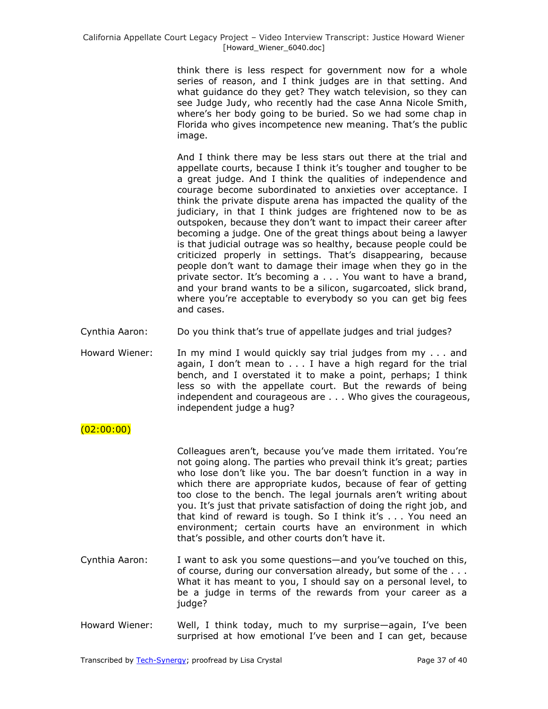think there is less respect for government now for a whole series of reason, and I think judges are in that setting. And what guidance do they get? They watch television, so they can see Judge Judy, who recently had the case Anna Nicole Smith, where's her body going to be buried. So we had some chap in Florida who gives incompetence new meaning. That's the public image.

And I think there may be less stars out there at the trial and appellate courts, because I think it's tougher and tougher to be a great judge. And I think the qualities of independence and courage become subordinated to anxieties over acceptance. I think the private dispute arena has impacted the quality of the judiciary, in that I think judges are frightened now to be as outspoken, because they don't want to impact their career after becoming a judge. One of the great things about being a lawyer is that judicial outrage was so healthy, because people could be criticized properly in settings. That's disappearing, because people don't want to damage their image when they go in the private sector. It's becoming a . . . You want to have a brand, and your brand wants to be a silicon, sugarcoated, slick brand, where you're acceptable to everybody so you can get big fees and cases.

- Cynthia Aaron: Do you think that's true of appellate judges and trial judges?
- Howard Wiener: In my mind I would quickly say trial judges from my . . . and again, I don't mean to . . . I have a high regard for the trial bench, and I overstated it to make a point, perhaps; I think less so with the appellate court. But the rewards of being independent and courageous are . . . Who gives the courageous, independent judge a hug?

# $(02:00:00)$

Colleagues aren't, because you've made them irritated. You're not going along. The parties who prevail think it's great; parties who lose don't like you. The bar doesn't function in a way in which there are appropriate kudos, because of fear of getting too close to the bench. The legal journals aren't writing about you. It's just that private satisfaction of doing the right job, and that kind of reward is tough. So I think it's . . . You need an environment; certain courts have an environment in which that's possible, and other courts don't have it.

- Cynthia Aaron: I want to ask you some questions—and you've touched on this, of course, during our conversation already, but some of the . . . What it has meant to you, I should say on a personal level, to be a judge in terms of the rewards from your career as a judge?
- Howard Wiener: Well, I think today, much to my surprise—again, I've been surprised at how emotional I've been and I can get, because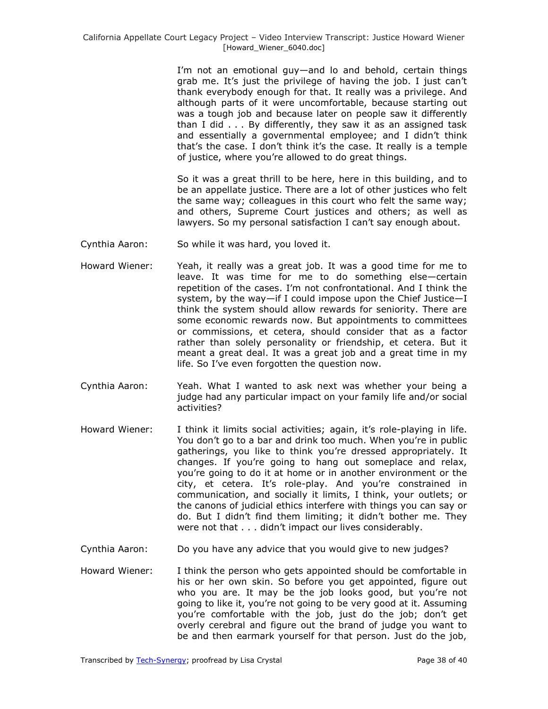I'm not an emotional guy—and lo and behold, certain things grab me. It's just the privilege of having the job. I just can't thank everybody enough for that. It really was a privilege. And although parts of it were uncomfortable, because starting out was a tough job and because later on people saw it differently than I did . . . By differently, they saw it as an assigned task and essentially a governmental employee; and I didn't think that's the case. I don't think it's the case. It really is a temple of justice, where you're allowed to do great things.

So it was a great thrill to be here, here in this building, and to be an appellate justice. There are a lot of other justices who felt the same way; colleagues in this court who felt the same way; and others, Supreme Court justices and others; as well as lawyers. So my personal satisfaction I can't say enough about.

- Cynthia Aaron: So while it was hard, you loved it.
- Howard Wiener: Yeah, it really was a great job. It was a good time for me to leave. It was time for me to do something else—certain repetition of the cases. I'm not confrontational. And I think the system, by the way—if I could impose upon the Chief Justice—I think the system should allow rewards for seniority. There are some economic rewards now. But appointments to committees or commissions, et cetera, should consider that as a factor rather than solely personality or friendship, et cetera. But it meant a great deal. It was a great job and a great time in my life. So I've even forgotten the question now.
- Cynthia Aaron: Yeah. What I wanted to ask next was whether your being a judge had any particular impact on your family life and/or social activities?
- Howard Wiener: I think it limits social activities; again, it's role-playing in life. You don't go to a bar and drink too much. When you're in public gatherings, you like to think you're dressed appropriately. It changes. If you're going to hang out someplace and relax, you're going to do it at home or in another environment or the city, et cetera. It's role-play. And you're constrained in communication, and socially it limits, I think, your outlets; or the canons of judicial ethics interfere with things you can say or do. But I didn't find them limiting; it didn't bother me. They were not that . . . didn't impact our lives considerably.
- Cynthia Aaron: Do you have any advice that you would give to new judges?
- Howard Wiener: I think the person who gets appointed should be comfortable in his or her own skin. So before you get appointed, figure out who you are. It may be the job looks good, but you're not going to like it, you're not going to be very good at it. Assuming you're comfortable with the job, just do the job; don't get overly cerebral and figure out the brand of judge you want to be and then earmark yourself for that person. Just do the job,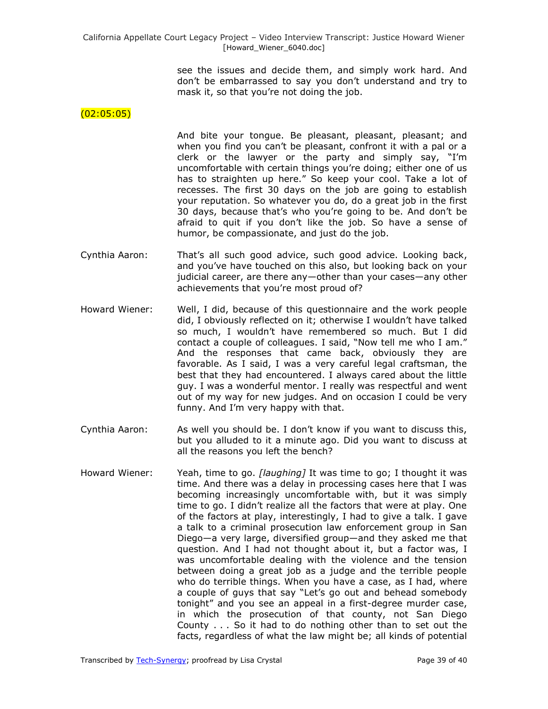see the issues and decide them, and simply work hard. And don't be embarrassed to say you don't understand and try to mask it, so that you're not doing the job.

## $(02:05:05)$

And bite your tongue. Be pleasant, pleasant, pleasant; and when you find you can't be pleasant, confront it with a pal or a clerk or the lawyer or the party and simply say, "I'm uncomfortable with certain things you're doing; either one of us has to straighten up here." So keep your cool. Take a lot of recesses. The first 30 days on the job are going to establish your reputation. So whatever you do, do a great job in the first 30 days, because that's who you're going to be. And don't be afraid to quit if you don't like the job. So have a sense of humor, be compassionate, and just do the job.

- Cynthia Aaron: That's all such good advice, such good advice. Looking back, and you've have touched on this also, but looking back on your judicial career, are there any—other than your cases—any other achievements that you're most proud of?
- Howard Wiener: Well, I did, because of this questionnaire and the work people did, I obviously reflected on it; otherwise I wouldn't have talked so much, I wouldn't have remembered so much. But I did contact a couple of colleagues. I said, "Now tell me who I am." And the responses that came back, obviously they are favorable. As I said, I was a very careful legal craftsman, the best that they had encountered. I always cared about the little guy. I was a wonderful mentor. I really was respectful and went out of my way for new judges. And on occasion I could be very funny. And I'm very happy with that.
- Cynthia Aaron: As well you should be. I don't know if you want to discuss this, but you alluded to it a minute ago. Did you want to discuss at all the reasons you left the bench?
- Howard Wiener: Yeah, time to go. *[laughing]* It was time to go; I thought it was time. And there was a delay in processing cases here that I was becoming increasingly uncomfortable with, but it was simply time to go. I didn't realize all the factors that were at play. One of the factors at play, interestingly, I had to give a talk. I gave a talk to a criminal prosecution law enforcement group in San Diego—a very large, diversified group—and they asked me that question. And I had not thought about it, but a factor was, I was uncomfortable dealing with the violence and the tension between doing a great job as a judge and the terrible people who do terrible things. When you have a case, as I had, where a couple of guys that say "Let's go out and behead somebody tonight" and you see an appeal in a first-degree murder case, in which the prosecution of that county, not San Diego County . . . So it had to do nothing other than to set out the facts, regardless of what the law might be; all kinds of potential